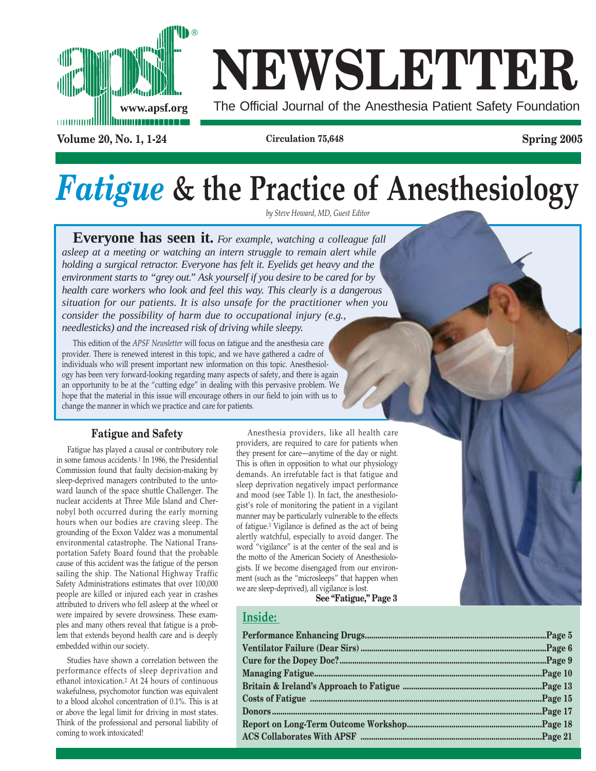

# **NEWSLETTER**

**Volume 20, No. 1, 1-24 Circulation 75,648 Spring 2005**

# *Fatigue* **& the Practice of Anesthesiology**

*by Steve Howard, MD, Guest Editor*

**Everyone has seen it.** *For example, watching a colleague fall asleep at a meeting or watching an intern struggle to remain alert while holding a surgical retractor. Everyone has felt it. Eyelids get heavy and the environment starts to "grey out." Ask yourself if you desire to be cared for by health care workers who look and feel this way. This clearly is a dangerous situation for our patients. It is also unsafe for the practitioner when you consider the possibility of harm due to occupational injury (e.g., needlesticks) and the increased risk of driving while sleepy.*

This edition of the *APSF Newsletter* will focus on fatigue and the anesthesia care provider. There is renewed interest in this topic, and we have gathered a cadre of individuals who will present important new information on this topic. Anesthesiology has been very forward-looking regarding many aspects of safety, and there is again an opportunity to be at the "cutting edge" in dealing with this pervasive problem. We hope that the material in this issue will encourage others in our field to join with us to change the manner in which we practice and care for patients.

#### **Fatigue and Safety**

Fatigue has played a causal or contributory role in some famous accidents.1 In 1986, the Presidential Commission found that faulty decision-making by sleep-deprived managers contributed to the untoward launch of the space shuttle Challenger. The nuclear accidents at Three Mile Island and Chernobyl both occurred during the early morning hours when our bodies are craving sleep. The grounding of the Exxon Valdez was a monumental environmental catastrophe. The National Transportation Safety Board found that the probable cause of this accident was the fatigue of the person sailing the ship. The National Highway Traffic Safety Administrations estimates that over 100,000 people are killed or injured each year in crashes attributed to drivers who fell asleep at the wheel or were impaired by severe drowsiness. These examples and many others reveal that fatigue is a problem that extends beyond health care and is deeply embedded within our society.

Studies have shown a correlation between the performance effects of sleep deprivation and ethanol intoxication.2 At 24 hours of continuous wakefulness, psychomotor function was equivalent to a blood alcohol concentration of 0.1%. This is at or above the legal limit for driving in most states. Think of the professional and personal liability of coming to work intoxicated!

Anesthesia providers, like all health care providers, are required to care for patients when they present for care—anytime of the day or night. This is often in opposition to what our physiology demands. An irrefutable fact is that fatigue and sleep deprivation negatively impact performance and mood (see Table 1). In fact, the anesthesiologist's role of monitoring the patient in a vigilant manner may be particularly vulnerable to the effects of fatigue.3 Vigilance is defined as the act of being alertly watchful, especially to avoid danger. The word "vigilance" is at the center of the seal and is the motto of the American Society of Anesthesiologists. If we become disengaged from our environment (such as the "microsleeps" that happen when we are sleep-deprived), all vigilance is lost.

**See "Fatigue," Page 3**

#### **Inside:**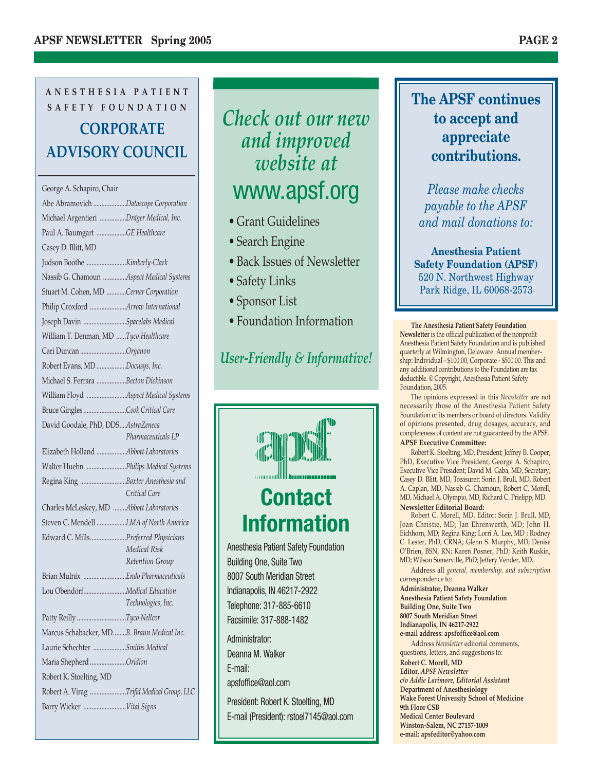### **ANESTHESIA PATIENT SAFETY FOUNDATION CORPORATE ADVISORY COUNCIL**

#### George A. Schapiro, Chair Abe Abramovich ....................*Datascope Corporation* Michael Argentieri ................*Dräger Medical, Inc.* Paul A. Baumgart ..................*GE Healthcare* Casey D. Blitt, MD Judson Boothe ........................*Kimberly-Clark* Nassib G. Chamoun ..............*Aspect Medical Systems* Stuart M. Cohen, MD ............*Cerner Corporation* Philip Croxford ......................*Arrow International* Joseph Davin ..........................*Spacelabs Medical* William T. Denman, MD ......*Tyco Healthcare* Cari Duncan ............................*Organon* Robert Evans, MD ..................*Docusys, Inc.* Michael S. Ferrara ..................*Becton Dickinson* William Floyd ........................*Aspect Medical Systems* Bruce Gingles ..........................*Cook Critical Care* David Goodale, PhD, DDS....*AstraZeneca Pharmaceuticals LP* Elizabeth Holland ..................*Abbott Laboratories* Walter Huehn ........................*Philips Medical Systems* Regina King ............................*Baxter Anesthesia and Critical Care* Charles McLeskey, MD ........*Abbott Laboratories* Steven C. Mendell ..................*LMA of North America* Edward C. Mills......................*Preferred Physicians Medical Risk Retention Group* Brian Mulnix ..........................*Endo Pharmaceuticals* Lou Obendorf..........................*Medical Education Technologies, Inc.* Patty Reilly ..............................*Tyco Nellcor* Marcus Schabacker, MD........*B. Braun Medical Inc.* Laurie Schechter ....................*Smiths Medical* Maria Shepherd ......................*Oridion* Robert K. Stoelting, MD Robert A. Virag ......................*Trifid Medical Group, LLC* Barry Wicker ..........................*Vital Signs*

### *Check out our new and improved website at* www.apsf.org

- Grant Guidelines
- Search Engine
- Back Issues of Newsletter
- Safety Links
- Sponsor List
- Foundation Information

### *User-Friendly & Informative!*



Building One, Suite Two 8007 South Meridian Street Indianapolis, IN 46217-2922 Telephone: 317-885-6610 Facsimile: 317-888-1482

Administrator: Deanna M. Walker E-mail: apsfoffice@aol.com

President: Robert K. Stoelting, MD E-mail (President): rstoel7145@aol.com

### **The APSF continues to accept and appreciate contributions.**

*Please make checks payable to the APSF and mail donations to:*

**Anesthesia Patient Safety Foundation (APSF)** 520 N. Northwest Highway Park Ridge, IL 60068-2573

**The Anesthesia Patient Safety Foundation Newsletter** is the official publication of the nonprofit Anesthesia Patient Safety Foundation and is published quarterly at Wilmington, Delaware. Annual membership: Individual - \$100.00, Corporate - \$500.00. This and any additional contributions to the Foundation are tax deductible. © Copyright, Anesthesia Patient Safety Foundation, 2005.

The opinions expressed in this *Newsletter* are not necessarily those of the Anesthesia Patient Safety Foundation or its members or board of directors. Validity of opinions presented, drug dosages, accuracy, and completeness of content are not guaranteed by the APSF.

#### **APSF Executive Committee:**

Robert K. Stoelting, MD, President; Jeffrey B. Cooper, PhD, Executive Vice President; George A. Schapiro, Executive Vice President; David M. Gaba, MD, Secretary; Casey D. Blitt, MD, Treasurer; Sorin J. Brull, MD, Robert A. Caplan, MD, Nassib G. Chamoun, Robert C. Morell, MD, Michael A. Olympio, MD, Richard C. Prielipp, MD. **Newsletter Editorial Board:**

Robert C. Morell, MD, Editor; Sorin J. Brull, MD; Joan Christie, MD; Jan Ehrenwerth, MD; John H. Eichhorn, MD; Regina King; Lorri A. Lee, MD ; Rodney C. Lester, PhD, CRNA; Glenn S. Murphy, MD; Denise O'Brien, BSN, RN; Karen Posner, PhD; Keith Ruskin, MD; Wilson Somerville, PhD; Jeffery Vender, MD.

Address all *general, membership, and subscription* correspondence to:

**Administrator, Deanna Walker Anesthesia Patient Safety Foundation Building One, Suite Two 8007 South Meridian Street Indianapolis, IN 46217-2922 e-mail address: apsfoffice@aol.com**

Address *Newsletter* editorial comments, questions, letters, and suggestions to: **Robert C. Morell, MD Editor,** *APSF Newsletter c/o Addie Larimore, Editorial Assistant* **Department of Anesthesiology Wake Forest University School of Medicine 9th Floor CSB Medical Center Boulevard Winston-Salem, NC 27157-1009 e-mail: apsfeditor@yahoo.com**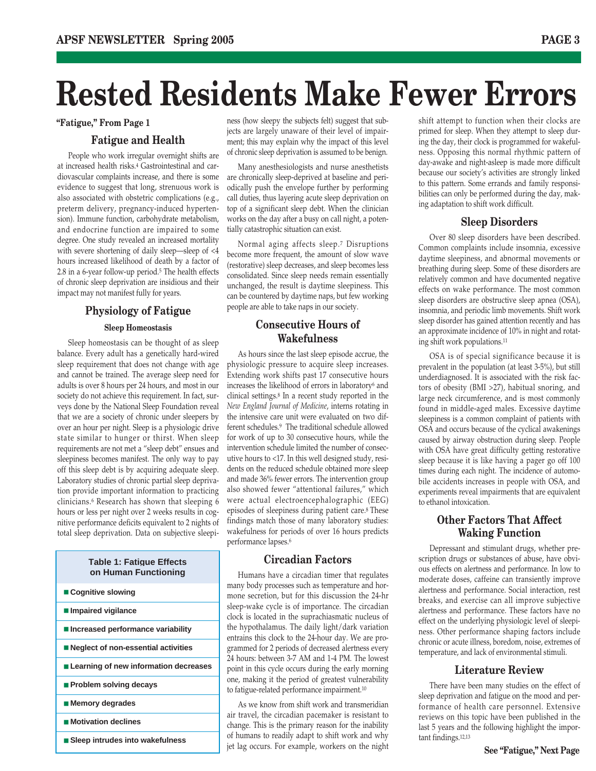## **Rested Residents Make Fewer Errors**

#### **Fatigue and Health**

People who work irregular overnight shifts are at increased health risks.4 Gastrointestinal and cardiovascular complaints increase, and there is some evidence to suggest that long, strenuous work is also associated with obstetric complications (e.g., preterm delivery, pregnancy-induced hypertension). Immune function, carbohydrate metabolism, and endocrine function are impaired to some degree. One study revealed an increased mortality with severe shortening of daily sleep—sleep of <4 hours increased likelihood of death by a factor of 2.8 in a 6-year follow-up period.5 The health effects of chronic sleep deprivation are insidious and their impact may not manifest fully for years.

#### **Physiology of Fatigue Sleep Homeostasis**

Sleep homeostasis can be thought of as sleep balance. Every adult has a genetically hard-wired sleep requirement that does not change with age and cannot be trained. The average sleep need for adults is over 8 hours per 24 hours, and most in our society do not achieve this requirement. In fact, surveys done by the National Sleep Foundation reveal that we are a society of chronic under sleepers by over an hour per night. Sleep is a physiologic drive state similar to hunger or thirst. When sleep requirements are not met a "sleep debt" ensues and sleepiness becomes manifest. The only way to pay off this sleep debt is by acquiring adequate sleep. Laboratory studies of chronic partial sleep deprivation provide important information to practicing clinicians.6 Research has shown that sleeping 6 hours or less per night over 2 weeks results in cognitive performance deficits equivalent to 2 nights of total sleep deprivation. Data on subjective sleepi-

#### **Table 1: Fatigue Effects on Human Functioning**

- Cognitive slowing
- **Impaired vigilance**
- **Increased performance variability**
- **Neglect of non-essential activities**
- **Learning of new information decreases**
- **Problem solving decays**
- **Memory degrades**
- **Motivation declines**
- **Sleep intrudes into wakefulness**

**"Fatigue," From Page 1** shift attempt to function when their clocks are ness (how sleepy the subjects felt) suggest that subjects are largely unaware of their level of impairment; this may explain why the impact of this level of chronic sleep deprivation is assumed to be benign.

> Many anesthesiologists and nurse anesthetists are chronically sleep-deprived at baseline and periodically push the envelope further by performing call duties, thus layering acute sleep deprivation on top of a significant sleep debt. When the clinician works on the day after a busy on call night, a potentially catastrophic situation can exist.

> Normal aging affects sleep.7 Disruptions become more frequent, the amount of slow wave (restorative) sleep decreases, and sleep becomes less consolidated. Since sleep needs remain essentially unchanged, the result is daytime sleepiness. This can be countered by daytime naps, but few working people are able to take naps in our society.

#### **Consecutive Hours of Wakefulness**

As hours since the last sleep episode accrue, the physiologic pressure to acquire sleep increases. Extending work shifts past 17 consecutive hours increases the likelihood of errors in laboratory6 and clinical settings.8 In a recent study reported in the *New England Journal of Medicine*, interns rotating in the intensive care unit were evaluated on two different schedules.9 The traditional schedule allowed for work of up to 30 consecutive hours, while the intervention schedule limited the number of consecutive hours to <17. In this well designed study, residents on the reduced schedule obtained more sleep and made 36% fewer errors. The intervention group also showed fewer "attentional failures," which were actual electroencephalographic (EEG) episodes of sleepiness during patient care.8 These findings match those of many laboratory studies: wakefulness for periods of over 16 hours predicts performance lapses.6

#### **Circadian Factors**

Humans have a circadian timer that regulates many body processes such as temperature and hormone secretion, but for this discussion the 24-hr sleep-wake cycle is of importance. The circadian clock is located in the suprachiasmatic nucleus of the hypothalamus. The daily light/dark variation entrains this clock to the 24-hour day. We are programmed for 2 periods of decreased alertness every 24 hours: between 3-7 AM and 1-4 PM. The lowest point in this cycle occurs during the early morning one, making it the period of greatest vulnerability to fatigue-related performance impairment.10

As we know from shift work and transmeridian air travel, the circadian pacemaker is resistant to change. This is the primary reason for the inability of humans to readily adapt to shift work and why jet lag occurs. For example, workers on the night

primed for sleep. When they attempt to sleep during the day, their clock is programmed for wakefulness. Opposing this normal rhythmic pattern of day-awake and night-asleep is made more difficult because our society's activities are strongly linked to this pattern. Some errands and family responsibilities can only be performed during the day, making adaptation to shift work difficult.

#### **Sleep Disorders**

Over 80 sleep disorders have been described. Common complaints include insomnia, excessive daytime sleepiness, and abnormal movements or breathing during sleep. Some of these disorders are relatively common and have documented negative effects on wake performance. The most common sleep disorders are obstructive sleep apnea (OSA), insomnia, and periodic limb movements. Shift work sleep disorder has gained attention recently and has an approximate incidence of 10% in night and rotating shift work populations.11

OSA is of special significance because it is prevalent in the population (at least 3-5%), but still underdiagnosed. It is associated with the risk factors of obesity (BMI >27), habitual snoring, and large neck circumference, and is most commonly found in middle-aged males. Excessive daytime sleepiness is a common complaint of patients with OSA and occurs because of the cyclical awakenings caused by airway obstruction during sleep. People with OSA have great difficulty getting restorative sleep because it is like having a pager go off 100 times during each night. The incidence of automobile accidents increases in people with OSA, and experiments reveal impairments that are equivalent to ethanol intoxication.

#### **Other Factors That Affect Waking Function**

Depressant and stimulant drugs, whether prescription drugs or substances of abuse, have obvious effects on alertness and performance. In low to moderate doses, caffeine can transiently improve alertness and performance. Social interaction, rest breaks, and exercise can all improve subjective alertness and performance. These factors have no effect on the underlying physiologic level of sleepiness. Other performance shaping factors include chronic or acute illness, boredom, noise, extremes of temperature, and lack of environmental stimuli.

#### **Literature Review**

There have been many studies on the effect of sleep deprivation and fatigue on the mood and performance of health care personnel. Extensive reviews on this topic have been published in the last 5 years and the following highlight the important findings.12,13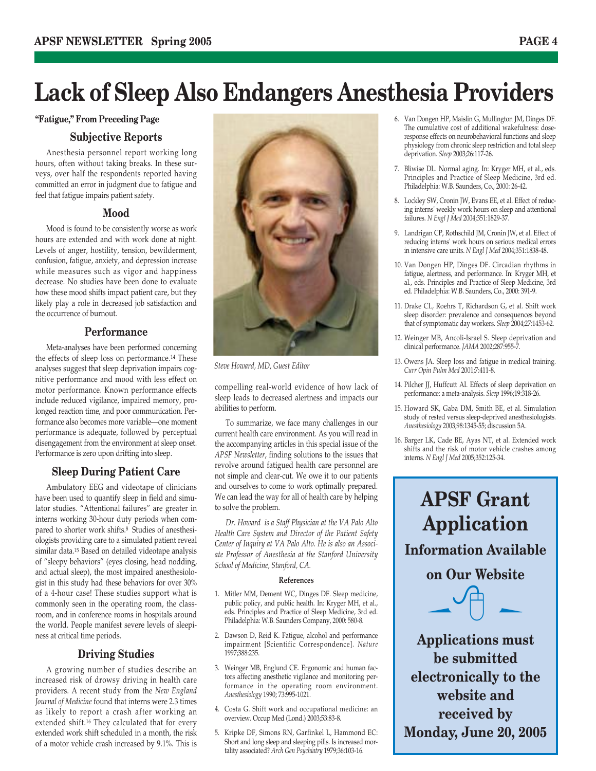#### **"Fatigue," From Preceding Page**

#### **Subjective Reports**

Anesthesia personnel report working long hours, often without taking breaks. In these surveys, over half the respondents reported having committed an error in judgment due to fatigue and feel that fatigue impairs patient safety.

#### **Mood**

Mood is found to be consistently worse as work hours are extended and with work done at night. Levels of anger, hostility, tension, bewilderment, confusion, fatigue, anxiety, and depression increase while measures such as vigor and happiness decrease. No studies have been done to evaluate how these mood shifts impact patient care, but they likely play a role in decreased job satisfaction and the occurrence of burnout.

#### **Performance**

Meta-analyses have been performed concerning the effects of sleep loss on performance.14 These analyses suggest that sleep deprivation impairs cognitive performance and mood with less effect on motor performance. Known performance effects include reduced vigilance, impaired memory, prolonged reaction time, and poor communication. Performance also becomes more variable—one moment performance is adequate, followed by perceptual disengagement from the environment at sleep onset. Performance is zero upon drifting into sleep.

#### **Sleep During Patient Care**

Ambulatory EEG and videotape of clinicians have been used to quantify sleep in field and simulator studies. "Attentional failures" are greater in interns working 30-hour duty periods when compared to shorter work shifts.8 Studies of anesthesiologists providing care to a simulated patient reveal similar data.15 Based on detailed videotape analysis of "sleepy behaviors" (eyes closing, head nodding, and actual sleep), the most impaired anesthesiologist in this study had these behaviors for over 30% of a 4-hour case! These studies support what is commonly seen in the operating room, the classroom, and in conference rooms in hospitals around the world. People manifest severe levels of sleepiness at critical time periods.

#### **Driving Studies**

A growing number of studies describe an increased risk of drowsy driving in health care providers. A recent study from the *New England Journal of Medicine* found that interns were 2.3 times as likely to report a crash after working an extended shift.16 They calculated that for every extended work shift scheduled in a month, the risk of a motor vehicle crash increased by 9.1%. This is



*Steve Howard, MD, Guest Editor*

compelling real-world evidence of how lack of sleep leads to decreased alertness and impacts our abilities to perform.

To summarize, we face many challenges in our current health care environment. As you will read in the accompanying articles in this special issue of the *APSF Newsletter*, finding solutions to the issues that revolve around fatigued health care personnel are not simple and clear-cut. We owe it to our patients and ourselves to come to work optimally prepared. We can lead the way for all of health care by helping to solve the problem.

*Dr. Howard is a Staff Physician at the VA Palo Alto Health Care System and Director of the Patient Safety Center of Inquiry at VA Palo Alto. He is also an Associate Professor of Anesthesia at the Stanford University School of Medicine, Stanford, CA.*

#### **References**

- 1. Mitler MM, Dement WC, Dinges DF. Sleep medicine, public policy, and public health. In: Kryger MH, et al., eds. Principles and Practice of Sleep Medicine, 3rd ed. Philadelphia: W.B. Saunders Company, 2000: 580-8.
- 2. Dawson D, Reid K. Fatigue, alcohol and performance impairment [Scientific Correspondence]. *Nature* 1997;388:235.
- 3. Weinger MB, Englund CE. Ergonomic and human factors affecting anesthetic vigilance and monitoring performance in the operating room environment. *Anesthesiology* 1990; 73:995-1021.
- 4. Costa G. Shift work and occupational medicine: an overview. Occup Med (Lond.) 2003;53:83-8.
- 5. Kripke DF, Simons RN, Garfinkel L, Hammond EC: Short and long sleep and sleeping pills. Is increased mortality associated? *Arch Gen Psychiatry* 1979;36:103-16.
- 6. Van Dongen HP, Maislin G, Mullington JM, Dinges DF. The cumulative cost of additional wakefulness: doseresponse effects on neurobehavioral functions and sleep physiology from chronic sleep restriction and total sleep deprivation. *Sleep* 2003;26:117-26.
- 7. Bliwise DL. Normal aging. In: Kryger MH, et al., eds. Principles and Practice of Sleep Medicine, 3rd ed. Philadelphia: W.B. Saunders, Co., 2000: 26-42.
- 8. Lockley SW, Cronin JW, Evans EE, et al. Effect of reducing interns' weekly work hours on sleep and attentional failures. *N Engl J Med* 2004;351:1829-37.
- 9. Landrigan CP, Rothschild JM, Cronin JW, et al. Effect of reducing interns' work hours on serious medical errors in intensive care units. *N Engl J Med* 2004;351:1838-48.
- 10. Van Dongen HP, Dinges DF. Circadian rhythms in fatigue, alertness, and performance. In: Kryger MH, et al., eds. Principles and Practice of Sleep Medicine, 3rd ed. Philadelphia: W.B. Saunders, Co., 2000: 391-9.
- 11. Drake CL, Roehrs T, Richardson G, et al. Shift work sleep disorder: prevalence and consequences beyond that of symptomatic day workers. *Sleep* 2004;27:1453-62.
- 12. Weinger MB, Ancoli-Israel S. Sleep deprivation and clinical performance. *JAMA* 2002;287:955-7.
- 13. Owens JA. Sleep loss and fatigue in medical training. *Curr Opin Pulm Med* 2001;7:411-8.
- 14. Pilcher JJ, Huffcutt AI. Effects of sleep deprivation on performance: a meta-analysis. *Sleep* 1996;19:318-26.
- 15. Howard SK, Gaba DM, Smith BE, et al. Simulation study of rested versus sleep-deprived anesthesiologists. *Anesthesiology* 2003;98:1345-55; discussion 5A.
- 16. Barger LK, Cade BE, Ayas NT, et al. Extended work shifts and the risk of motor vehicle crashes among interns. *N Engl J Med* 2005;352:125-34.

**APSF Grant Application Information Available on Our Website**   $\sqrt{\theta}$   $-$ **Applications must be submitted electronically to the website and** 

**received by Monday, June 20, 2005**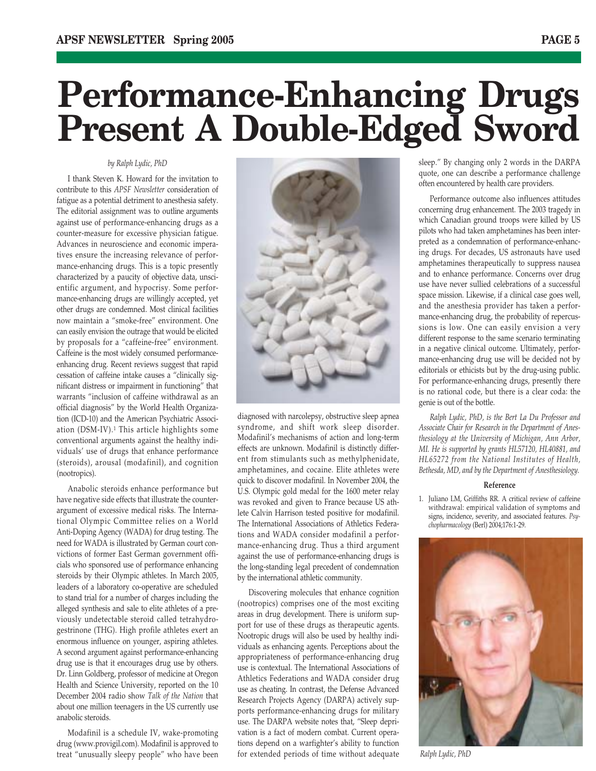## **Performance-Enhancing Drugs Present A Double-Edged Sword**

#### *by Ralph Lydic, PhD*

I thank Steven K. Howard for the invitation to contribute to this *APSF Newsletter* consideration of fatigue as a potential detriment to anesthesia safety. The editorial assignment was to outline arguments against use of performance-enhancing drugs as a counter-measure for excessive physician fatigue. Advances in neuroscience and economic imperatives ensure the increasing relevance of performance-enhancing drugs. This is a topic presently characterized by a paucity of objective data, unscientific argument, and hypocrisy. Some performance-enhancing drugs are willingly accepted, yet other drugs are condemned. Most clinical facilities now maintain a "smoke-free" environment. One can easily envision the outrage that would be elicited by proposals for a "caffeine-free" environment. Caffeine is the most widely consumed performanceenhancing drug. Recent reviews suggest that rapid cessation of caffeine intake causes a "clinically significant distress or impairment in functioning" that warrants "inclusion of caffeine withdrawal as an official diagnosis" by the World Health Organization (ICD-10) and the American Psychiatric Association (DSM-IV).1 This article highlights some conventional arguments against the healthy individuals' use of drugs that enhance performance (steroids), arousal (modafinil), and cognition (nootropics).

Anabolic steroids enhance performance but have negative side effects that illustrate the counterargument of excessive medical risks. The International Olympic Committee relies on a World Anti-Doping Agency (WADA) for drug testing. The need for WADA is illustrated by German court convictions of former East German government officials who sponsored use of performance enhancing steroids by their Olympic athletes. In March 2005, leaders of a laboratory co-operative are scheduled to stand trial for a number of charges including the alleged synthesis and sale to elite athletes of a previously undetectable steroid called tetrahydrogestrinone (THG). High profile athletes exert an enormous influence on younger, aspiring athletes. A second argument against performance-enhancing drug use is that it encourages drug use by others. Dr. Linn Goldberg, professor of medicine at Oregon Health and Science University, reported on the 10 December 2004 radio show *Talk of the Nation* that about one million teenagers in the US currently use anabolic steroids.

Modafinil is a schedule IV, wake-promoting drug (www.provigil.com). Modafinil is approved to treat "unusually sleepy people" who have been



diagnosed with narcolepsy, obstructive sleep apnea syndrome, and shift work sleep disorder. Modafinil's mechanisms of action and long-term effects are unknown. Modafinil is distinctly different from stimulants such as methylphenidate, amphetamines, and cocaine. Elite athletes were quick to discover modafinil. In November 2004, the U.S. Olympic gold medal for the 1600 meter relay was revoked and given to France because US athlete Calvin Harrison tested positive for modafinil. The International Associations of Athletics Federations and WADA consider modafinil a performance-enhancing drug. Thus a third argument against the use of performance-enhancing drugs is the long-standing legal precedent of condemnation by the international athletic community.

Discovering molecules that enhance cognition (nootropics) comprises one of the most exciting areas in drug development. There is uniform support for use of these drugs as therapeutic agents. Nootropic drugs will also be used by healthy individuals as enhancing agents. Perceptions about the appropriateness of performance-enhancing drug use is contextual. The International Associations of Athletics Federations and WADA consider drug use as cheating. In contrast, the Defense Advanced Research Projects Agency (DARPA) actively supports performance-enhancing drugs for military use. The DARPA website notes that, "Sleep deprivation is a fact of modern combat. Current operations depend on a warfighter's ability to function for extended periods of time without adequate

sleep." By changing only 2 words in the DARPA quote, one can describe a performance challenge often encountered by health care providers.

Performance outcome also influences attitudes concerning drug enhancement. The 2003 tragedy in which Canadian ground troops were killed by US pilots who had taken amphetamines has been interpreted as a condemnation of performance-enhancing drugs. For decades, US astronauts have used amphetamines therapeutically to suppress nausea and to enhance performance. Concerns over drug use have never sullied celebrations of a successful space mission. Likewise, if a clinical case goes well, and the anesthesia provider has taken a performance-enhancing drug, the probability of repercussions is low. One can easily envision a very different response to the same scenario terminating in a negative clinical outcome. Ultimately, performance-enhancing drug use will be decided not by editorials or ethicists but by the drug-using public. For performance-enhancing drugs, presently there is no rational code, but there is a clear coda: the genie is out of the bottle.

*Ralph Lydic, PhD, is the Bert La Du Professor and Associate Chair for Research in the Department of Anesthesiology at the University of Michigan, Ann Arbor, MI. He is supported by grants HL57120, HL40881, and HL65272 from the National Institutes of Health, Bethesda, MD, and by the Department of Anesthesiology.*

#### **Reference**

1. Juliano LM, Griffiths RR. A critical review of caffeine withdrawal: empirical validation of symptoms and signs, incidence, severity, and associated features. *Psychopharmacology* (Berl) 2004;176:1-29.



*Ralph Lydic, PhD*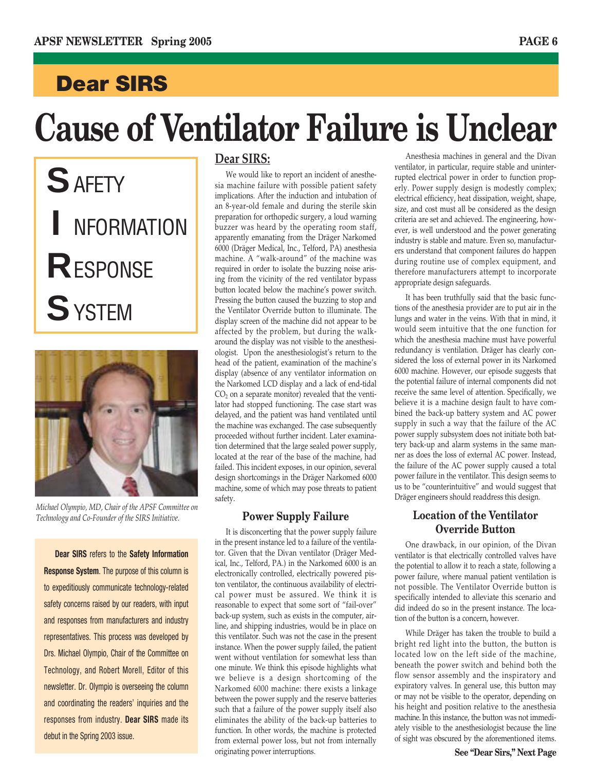### **Dear SIRS**

# **Cause of Ventilator Failure is Unclear**

**S** AFETY **I** NFORMATION **R**ESPONSE **S**YSTEM



*Michael Olympio, MD, Chair of the APSF Committee on Technology and Co-Founder of the SIRS Initiative.*

**Dear SIRS** refers to the **Safety Information Response System**. The purpose of this column is to expeditiously communicate technology-related safety concerns raised by our readers, with input and responses from manufacturers and industry representatives. This process was developed by Drs. Michael Olympio, Chair of the Committee on Technology, and Robert Morell, Editor of this newsletter. Dr. Olympio is overseeing the column and coordinating the readers' inquiries and the responses from industry. **Dear SIRS** made its debut in the Spring 2003 issue.

#### **Dear SIRS:**

We would like to report an incident of anesthesia machine failure with possible patient safety implications. After the induction and intubation of an 8-year-old female and during the sterile skin preparation for orthopedic surgery, a loud warning buzzer was heard by the operating room staff, apparently emanating from the Dräger Narkomed 6000 (Dräger Medical, Inc., Telford, PA) anesthesia machine. A "walk-around" of the machine was required in order to isolate the buzzing noise arising from the vicinity of the red ventilator bypass button located below the machine's power switch. Pressing the button caused the buzzing to stop and the Ventilator Override button to illuminate. The display screen of the machine did not appear to be affected by the problem, but during the walkaround the display was not visible to the anesthesiologist. Upon the anesthesiologist's return to the head of the patient, examination of the machine's display (absence of any ventilator information on the Narkomed LCD display and a lack of end-tidal  $CO<sub>2</sub>$  on a separate monitor) revealed that the ventilator had stopped functioning. The case start was delayed, and the patient was hand ventilated until the machine was exchanged. The case subsequently proceeded without further incident. Later examination determined that the large sealed power supply, located at the rear of the base of the machine, had failed. This incident exposes, in our opinion, several design shortcomings in the Dräger Narkomed 6000 machine, some of which may pose threats to patient safety.

#### **Power Supply Failure**

It is disconcerting that the power supply failure in the present instance led to a failure of the ventilator. Given that the Divan ventilator (Dräger Medical, Inc., Telford, PA.) in the Narkomed 6000 is an electronically controlled, electrically powered piston ventilator, the continuous availability of electrical power must be assured. We think it is reasonable to expect that some sort of "fail-over" back-up system, such as exists in the computer, airline, and shipping industries, would be in place on this ventilator. Such was not the case in the present instance. When the power supply failed, the patient went without ventilation for somewhat less than one minute. We think this episode highlights what we believe is a design shortcoming of the Narkomed 6000 machine: there exists a linkage between the power supply and the reserve batteries such that a failure of the power supply itself also eliminates the ability of the back-up batteries to function. In other words, the machine is protected from external power loss, but not from internally originating power interruptions.

Anesthesia machines in general and the Divan ventilator, in particular, require stable and uninterrupted electrical power in order to function properly. Power supply design is modestly complex; electrical efficiency, heat dissipation, weight, shape, size, and cost must all be considered as the design criteria are set and achieved. The engineering, however, is well understood and the power generating industry is stable and mature. Even so, manufacturers understand that component failures do happen during routine use of complex equipment, and therefore manufacturers attempt to incorporate appropriate design safeguards.

It has been truthfully said that the basic functions of the anesthesia provider are to put air in the lungs and water in the veins. With that in mind, it would seem intuitive that the one function for which the anesthesia machine must have powerful redundancy is ventilation. Dräger has clearly considered the loss of external power in its Narkomed 6000 machine. However, our episode suggests that the potential failure of internal components did not receive the same level of attention. Specifically, we believe it is a machine design fault to have combined the back-up battery system and AC power supply in such a way that the failure of the AC power supply subsystem does not initiate both battery back-up and alarm systems in the same manner as does the loss of external AC power. Instead, the failure of the AC power supply caused a total power failure in the ventilator. This design seems to us to be "counterintuitive" and would suggest that Dräger engineers should readdress this design.

#### **Location of the Ventilator Override Button**

One drawback, in our opinion, of the Divan ventilator is that electrically controlled valves have the potential to allow it to reach a state, following a power failure, where manual patient ventilation is not possible. The Ventilator Override button is specifically intended to alleviate this scenario and did indeed do so in the present instance. The location of the button is a concern, however.

While Dräger has taken the trouble to build a bright red light into the button, the button is located low on the left side of the machine, beneath the power switch and behind both the flow sensor assembly and the inspiratory and expiratory valves. In general use, this button may or may not be visible to the operator, depending on his height and position relative to the anesthesia machine. In this instance, the button was not immediately visible to the anesthesiologist because the line of sight was obscured by the aforementioned items.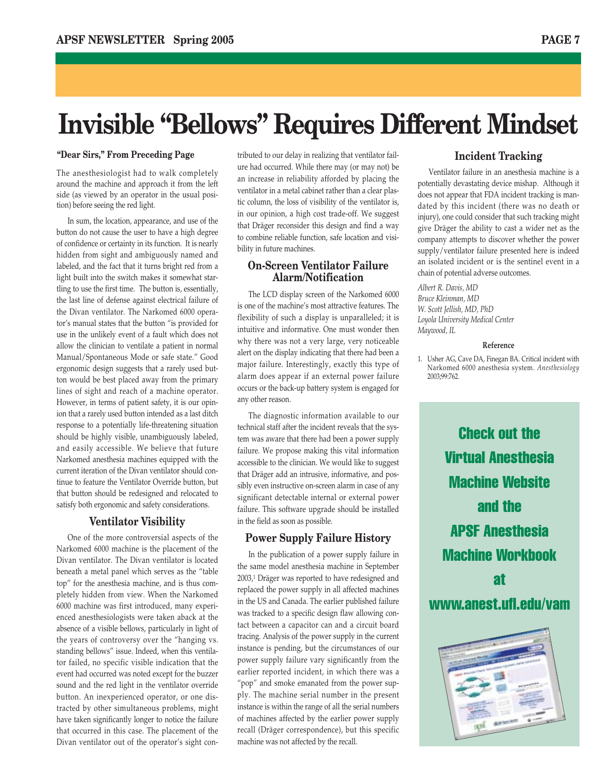### **Invisible "Bellows" Requires Different Mindset**

#### **"Dear Sirs," From Preceding Page**

The anesthesiologist had to walk completely around the machine and approach it from the left side (as viewed by an operator in the usual position) before seeing the red light.

In sum, the location, appearance, and use of the button do not cause the user to have a high degree of confidence or certainty in its function. It is nearly hidden from sight and ambiguously named and labeled, and the fact that it turns bright red from a light built into the switch makes it somewhat startling to use the first time. The button is, essentially, the last line of defense against electrical failure of the Divan ventilator. The Narkomed 6000 operator's manual states that the button "is provided for use in the unlikely event of a fault which does not allow the clinician to ventilate a patient in normal Manual/Spontaneous Mode or safe state." Good ergonomic design suggests that a rarely used button would be best placed away from the primary lines of sight and reach of a machine operator. However, in terms of patient safety, it is our opinion that a rarely used button intended as a last ditch response to a potentially life-threatening situation should be highly visible, unambiguously labeled, and easily accessible. We believe that future Narkomed anesthesia machines equipped with the current iteration of the Divan ventilator should continue to feature the Ventilator Override button, but that button should be redesigned and relocated to satisfy both ergonomic and safety considerations.

#### **Ventilator Visibility**

One of the more controversial aspects of the Narkomed 6000 machine is the placement of the Divan ventilator. The Divan ventilator is located beneath a metal panel which serves as the "table top" for the anesthesia machine, and is thus completely hidden from view. When the Narkomed 6000 machine was first introduced, many experienced anesthesiologists were taken aback at the absence of a visible bellows, particularly in light of the years of controversy over the "hanging vs. standing bellows" issue. Indeed, when this ventilator failed, no specific visible indication that the event had occurred was noted except for the buzzer sound and the red light in the ventilator override button. An inexperienced operator, or one distracted by other simultaneous problems, might have taken significantly longer to notice the failure that occurred in this case. The placement of the Divan ventilator out of the operator's sight con-

tributed to our delay in realizing that ventilator failure had occurred. While there may (or may not) be an increase in reliability afforded by placing the ventilator in a metal cabinet rather than a clear plastic column, the loss of visibility of the ventilator is, in our opinion, a high cost trade-off. We suggest that Dräger reconsider this design and find a way to combine reliable function, safe location and visibility in future machines.

#### **On-Screen Ventilator Failure Alarm/Notification**

The LCD display screen of the Narkomed 6000 is one of the machine's most attractive features. The flexibility of such a display is unparalleled; it is intuitive and informative. One must wonder then why there was not a very large, very noticeable alert on the display indicating that there had been a major failure. Interestingly, exactly this type of alarm does appear if an external power failure occurs or the back-up battery system is engaged for any other reason.

The diagnostic information available to our technical staff after the incident reveals that the system was aware that there had been a power supply failure. We propose making this vital information accessible to the clinician. We would like to suggest that Dräger add an intrusive, informative, and possibly even instructive on-screen alarm in case of any significant detectable internal or external power failure. This software upgrade should be installed in the field as soon as possible.

#### **Power Supply Failure History**

In the publication of a power supply failure in the same model anesthesia machine in September 2003,1 Dräger was reported to have redesigned and replaced the power supply in all affected machines in the US and Canada. The earlier published failure was tracked to a specific design flaw allowing contact between a capacitor can and a circuit board tracing. Analysis of the power supply in the current instance is pending, but the circumstances of our power supply failure vary significantly from the earlier reported incident, in which there was a "pop" and smoke emanated from the power supply. The machine serial number in the present instance is within the range of all the serial numbers of machines affected by the earlier power supply recall (Dräger correspondence), but this specific machine was not affected by the recall.

#### **Incident Tracking**

Ventilator failure in an anesthesia machine is a potentially devastating device mishap. Although it does not appear that FDA incident tracking is mandated by this incident (there was no death or injury), one could consider that such tracking might give Dräger the ability to cast a wider net as the company attempts to discover whether the power supply/ventilator failure presented here is indeed an isolated incident or is the sentinel event in a chain of potential adverse outcomes.

*Albert R. Davis, MD Bruce Kleinman, MD W. Scott Jellish, MD, PhD Loyola University Medical Center Maywood, IL*

#### **Reference**

1. Usher AG, Cave DA, Finegan BA. Critical incident with Narkomed 6000 anesthesia system. *Anesthesiology* 2003;99:762.

Check out the Virtual Anesthesia Machine Website and the APSF Anesthesia Machine Workbook at www.anest.ufl.edu/vam

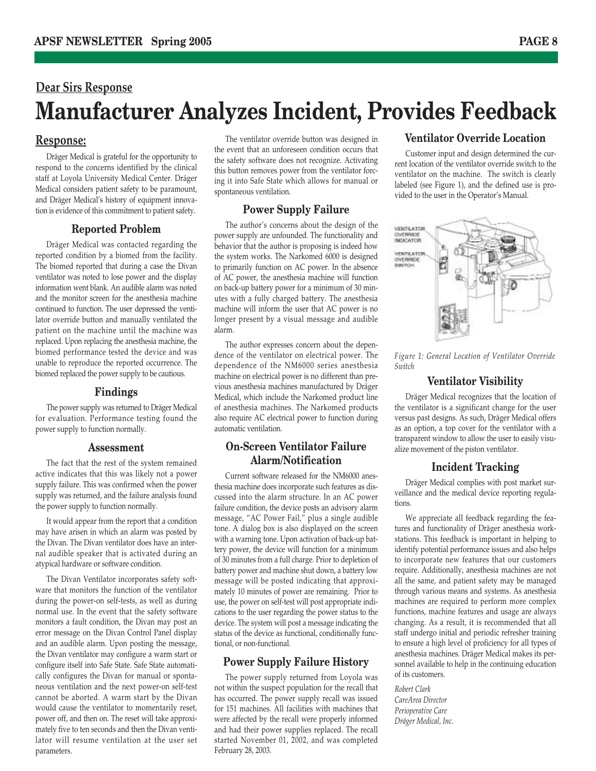### **Dear Sirs Response Manufacturer Analyzes Incident, Provides Feedback**

#### **Response:**

Dräger Medical is grateful for the opportunity to respond to the concerns identified by the clinical staff at Loyola University Medical Center. Dräger Medical considers patient safety to be paramount, and Dräger Medical's history of equipment innovation is evidence of this commitment to patient safety.

#### **Reported Problem**

Dräger Medical was contacted regarding the reported condition by a biomed from the facility. The biomed reported that during a case the Divan ventilator was noted to lose power and the display information went blank. An audible alarm was noted and the monitor screen for the anesthesia machine continued to function. The user depressed the ventilator override button and manually ventilated the patient on the machine until the machine was replaced. Upon replacing the anesthesia machine, the biomed performance tested the device and was unable to reproduce the reported occurrence. The biomed replaced the power supply to be cautious.

#### **Findings**

The power supply was returned to Dräger Medical for evaluation. Performance testing found the power supply to function normally.

#### **Assessment**

The fact that the rest of the system remained active indicates that this was likely not a power supply failure. This was confirmed when the power supply was returned, and the failure analysis found the power supply to function normally.

It would appear from the report that a condition may have arisen in which an alarm was posted by the Divan. The Divan ventilator does have an internal audible speaker that is activated during an atypical hardware or software condition.

The Divan Ventilator incorporates safety software that monitors the function of the ventilator during the power-on self-tests, as well as during normal use. In the event that the safety software monitors a fault condition, the Divan may post an error message on the Divan Control Panel display and an audible alarm. Upon posting the message, the Divan ventilator may configure a warm start or configure itself into Safe State. Safe State automatically configures the Divan for manual or spontaneous ventilation and the next power-on self-test cannot be aborted. A warm start by the Divan would cause the ventilator to momentarily reset, power off, and then on. The reset will take approximately five to ten seconds and then the Divan ventilator will resume ventilation at the user set parameters.

The ventilator override button was designed in the event that an unforeseen condition occurs that the safety software does not recognize. Activating this button removes power from the ventilator forcing it into Safe State which allows for manual or spontaneous ventilation.

#### **Power Supply Failure**

The author's concerns about the design of the power supply are unfounded. The functionality and behavior that the author is proposing is indeed how the system works. The Narkomed 6000 is designed to primarily function on AC power. In the absence of AC power, the anesthesia machine will function on back-up battery power for a minimum of 30 minutes with a fully charged battery. The anesthesia machine will inform the user that AC power is no longer present by a visual message and audible alarm.

The author expresses concern about the dependence of the ventilator on electrical power. The dependence of the NM6000 series anesthesia machine on electrical power is no different than previous anesthesia machines manufactured by Dräger Medical, which include the Narkomed product line of anesthesia machines. The Narkomed products also require AC electrical power to function during automatic ventilation.

#### **On-Screen Ventilator Failure Alarm/Notification**

Current software released for the NM6000 anesthesia machine does incorporate such features as discussed into the alarm structure. In an AC power failure condition, the device posts an advisory alarm message, "AC Power Fail," plus a single audible tone. A dialog box is also displayed on the screen with a warning tone. Upon activation of back-up battery power, the device will function for a minimum of 30 minutes from a full charge. Prior to depletion of battery power and machine shut down, a battery low message will be posted indicating that approximately 10 minutes of power are remaining. Prior to use, the power on self-test will post appropriate indications to the user regarding the power status to the device. The system will post a message indicating the status of the device as functional, conditionally functional, or non-functional.

#### **Power Supply Failure History**

The power supply returned from Loyola was not within the suspect population for the recall that has occurred. The power supply recall was issued for 151 machines. All facilities with machines that were affected by the recall were properly informed and had their power supplies replaced. The recall started November 01, 2002, and was completed February 28, 2003.

#### **Ventilator Override Location**

Customer input and design determined the current location of the ventilator override switch to the ventilator on the machine. The switch is clearly labeled (see Figure 1), and the defined use is provided to the user in the Operator's Manual.



*Figure 1: General Location of Ventilator Override Switch*

#### **Ventilator Visibility**

Dräger Medical recognizes that the location of the ventilator is a significant change for the user versus past designs. As such, Dräger Medical offers as an option, a top cover for the ventilator with a transparent window to allow the user to easily visualize movement of the piston ventilator.

#### **Incident Tracking**

Dräger Medical complies with post market surveillance and the medical device reporting regulations.

We appreciate all feedback regarding the features and functionality of Dräger anesthesia workstations. This feedback is important in helping to identify potential performance issues and also helps to incorporate new features that our customers require. Additionally, anesthesia machines are not all the same, and patient safety may be managed through various means and systems. As anesthesia machines are required to perform more complex functions, machine features and usage are always changing. As a result, it is recommended that all staff undergo initial and periodic refresher training to ensure a high level of proficiency for all types of anesthesia machines. Dräger Medical makes its personnel available to help in the continuing education of its customers.

*Robert Clark CareArea Director Perioperative Care Dräger Medical, Inc.*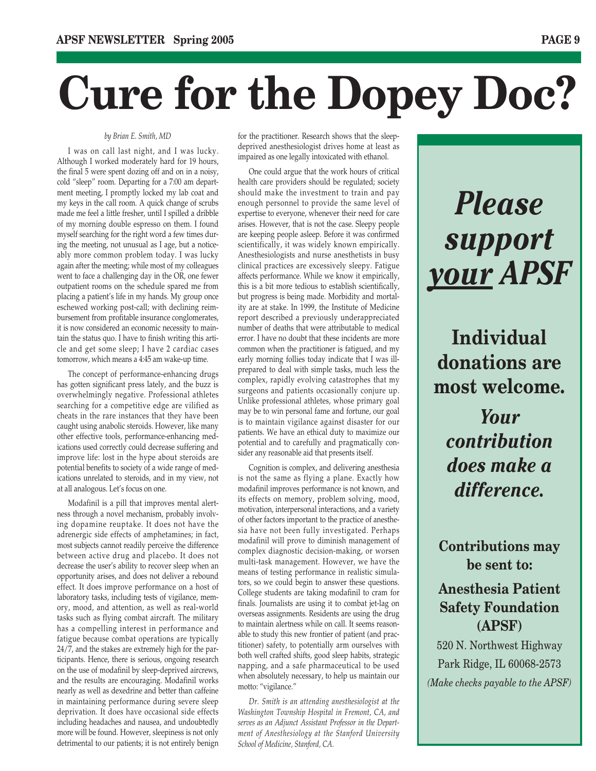# **Cure for the Dopey Doc?**

#### *by Brian E. Smith, MD*

I was on call last night, and I was lucky. Although I worked moderately hard for 19 hours, the final 5 were spent dozing off and on in a noisy, cold "sleep" room. Departing for a 7:00 am department meeting, I promptly locked my lab coat and my keys in the call room. A quick change of scrubs made me feel a little fresher, until I spilled a dribble of my morning double espresso on them. I found myself searching for the right word a few times during the meeting, not unusual as I age, but a noticeably more common problem today. I was lucky again after the meeting; while most of my colleagues went to face a challenging day in the OR, one fewer outpatient rooms on the schedule spared me from placing a patient's life in my hands. My group once eschewed working post-call; with declining reimbursement from profitable insurance conglomerates, it is now considered an economic necessity to maintain the status quo. I have to finish writing this article and get some sleep; I have 2 cardiac cases tomorrow, which means a 4:45 am wake-up time.

The concept of performance-enhancing drugs has gotten significant press lately, and the buzz is overwhelmingly negative. Professional athletes searching for a competitive edge are vilified as cheats in the rare instances that they have been caught using anabolic steroids. However, like many other effective tools, performance-enhancing medications used correctly could decrease suffering and improve life: lost in the hype about steroids are potential benefits to society of a wide range of medications unrelated to steroids, and in my view, not at all analogous. Let's focus on one.

Modafinil is a pill that improves mental alertness through a novel mechanism, probably involving dopamine reuptake. It does not have the adrenergic side effects of amphetamines; in fact, most subjects cannot readily perceive the difference between active drug and placebo. It does not decrease the user's ability to recover sleep when an opportunity arises, and does not deliver a rebound effect. It does improve performance on a host of laboratory tasks, including tests of vigilance, memory, mood, and attention, as well as real-world tasks such as flying combat aircraft. The military has a compelling interest in performance and fatigue because combat operations are typically 24/7, and the stakes are extremely high for the participants. Hence, there is serious, ongoing research on the use of modafinil by sleep-deprived aircrews, and the results are encouraging. Modafinil works nearly as well as dexedrine and better than caffeine in maintaining performance during severe sleep deprivation. It does have occasional side effects including headaches and nausea, and undoubtedly more will be found. However, sleepiness is not only detrimental to our patients; it is not entirely benign

for the practitioner. Research shows that the sleepdeprived anesthesiologist drives home at least as impaired as one legally intoxicated with ethanol.

One could argue that the work hours of critical health care providers should be regulated; society should make the investment to train and pay enough personnel to provide the same level of expertise to everyone, whenever their need for care arises. However, that is not the case. Sleepy people are keeping people asleep. Before it was confirmed scientifically, it was widely known empirically. Anesthesiologists and nurse anesthetists in busy clinical practices are excessively sleepy. Fatigue affects performance. While we know it empirically, this is a bit more tedious to establish scientifically, but progress is being made. Morbidity and mortality are at stake. In 1999, the Institute of Medicine report described a previously underappreciated number of deaths that were attributable to medical error. I have no doubt that these incidents are more common when the practitioner is fatigued, and my early morning follies today indicate that I was illprepared to deal with simple tasks, much less the complex, rapidly evolving catastrophes that my surgeons and patients occasionally conjure up. Unlike professional athletes, whose primary goal may be to win personal fame and fortune, our goal is to maintain vigilance against disaster for our patients. We have an ethical duty to maximize our potential and to carefully and pragmatically consider any reasonable aid that presents itself.

Cognition is complex, and delivering anesthesia is not the same as flying a plane. Exactly how modafinil improves performance is not known, and its effects on memory, problem solving, mood, motivation, interpersonal interactions, and a variety of other factors important to the practice of anesthesia have not been fully investigated. Perhaps modafinil will prove to diminish management of complex diagnostic decision-making, or worsen multi-task management. However, we have the means of testing performance in realistic simulators, so we could begin to answer these questions. College students are taking modafinil to cram for finals. Journalists are using it to combat jet-lag on overseas assignments. Residents are using the drug to maintain alertness while on call. It seems reasonable to study this new frontier of patient (and practitioner) safety, to potentially arm ourselves with both well crafted shifts, good sleep habits, strategic napping, and a safe pharmaceutical to be used when absolutely necessary, to help us maintain our motto: "vigilance."

*Dr. Smith is an attending anesthesiologist at the Washington Township Hospital in Fremont, CA, and serves as an Adjunct Assistant Professor in the Department of Anesthesiology at the Stanford University School of Medicine, Stanford, CA.*

## *Please support your APSF*

**Individual donations are most welcome.**

*Your contribution does make a difference.*

**Contributions may be sent to:**

#### **Anesthesia Patient Safety Foundation (APSF)**

520 N. Northwest Highway Park Ridge, IL 60068-2573 *(Make checks payable to the APSF)*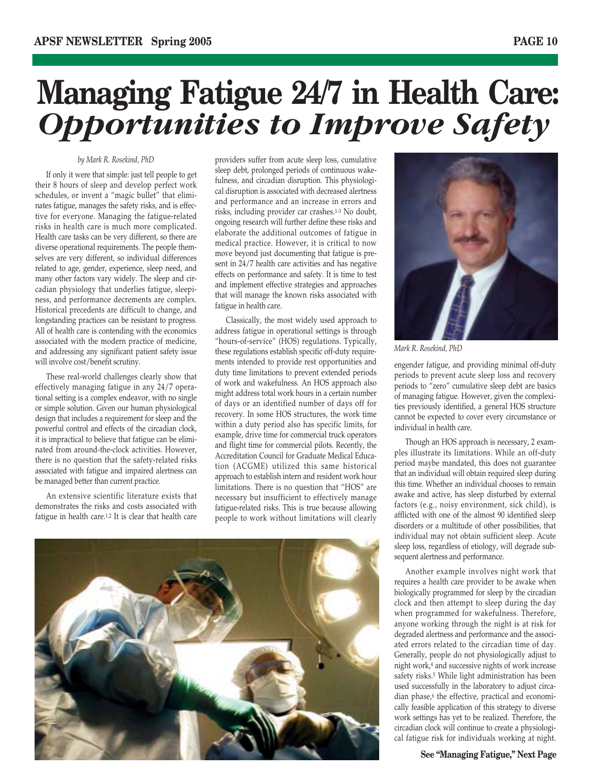## **Managing Fatigue 24/7 in Health Care:** *Opportunities to Improve Safety*

#### *by Mark R. Rosekind, PhD*

If only it were that simple: just tell people to get their 8 hours of sleep and develop perfect work schedules, or invent a "magic bullet" that eliminates fatigue, manages the safety risks, and is effective for everyone. Managing the fatigue-related risks in health care is much more complicated. Health care tasks can be very different, so there are diverse operational requirements. The people themselves are very different, so individual differences related to age, gender, experience, sleep need, and many other factors vary widely. The sleep and circadian physiology that underlies fatigue, sleepiness, and performance decrements are complex. Historical precedents are difficult to change, and longstanding practices can be resistant to progress. All of health care is contending with the economics associated with the modern practice of medicine, and addressing any significant patient safety issue will involve cost/benefit scrutiny.

These real-world challenges clearly show that effectively managing fatigue in any 24/7 operational setting is a complex endeavor, with no single or simple solution. Given our human physiological design that includes a requirement for sleep and the powerful control and effects of the circadian clock, it is impractical to believe that fatigue can be eliminated from around-the-clock activities. However, there is no question that the safety-related risks associated with fatigue and impaired alertness can be managed better than current practice.

An extensive scientific literature exists that demonstrates the risks and costs associated with fatigue in health care.1,2 It is clear that health care providers suffer from acute sleep loss, cumulative sleep debt, prolonged periods of continuous wakefulness, and circadian disruption. This physiological disruption is associated with decreased alertness and performance and an increase in errors and risks, including provider car crashes.1-3 No doubt, ongoing research will further define these risks and elaborate the additional outcomes of fatigue in medical practice. However, it is critical to now move beyond just documenting that fatigue is present in 24/7 health care activities and has negative effects on performance and safety. It is time to test and implement effective strategies and approaches that will manage the known risks associated with fatigue in health care.

Classically, the most widely used approach to address fatigue in operational settings is through "hours-of-service" (HOS) regulations. Typically, these regulations establish specific off-duty requirements intended to provide rest opportunities and duty time limitations to prevent extended periods of work and wakefulness. An HOS approach also might address total work hours in a certain number of days or an identified number of days off for recovery. In some HOS structures, the work time within a duty period also has specific limits, for example, drive time for commercial truck operators and flight time for commercial pilots. Recently, the Accreditation Council for Graduate Medical Education (ACGME) utilized this same historical approach to establish intern and resident work hour limitations. There is no question that "HOS" are necessary but insufficient to effectively manage fatigue-related risks. This is true because allowing people to work without limitations will clearly





*Mark R. Rosekind, PhD*

engender fatigue, and providing minimal off-duty periods to prevent acute sleep loss and recovery periods to "zero" cumulative sleep debt are basics of managing fatigue. However, given the complexities previously identified, a general HOS structure cannot be expected to cover every circumstance or individual in health care.

Though an HOS approach is necessary, 2 examples illustrate its limitations. While an off-duty period maybe mandated, this does not guarantee that an individual will obtain required sleep during this time. Whether an individual chooses to remain awake and active, has sleep disturbed by external factors (e.g., noisy environment, sick child), is afflicted with one of the almost 90 identified sleep disorders or a multitude of other possibilities, that individual may not obtain sufficient sleep. Acute sleep loss, regardless of etiology, will degrade subsequent alertness and performance.

Another example involves night work that requires a health care provider to be awake when biologically programmed for sleep by the circadian clock and then attempt to sleep during the day when programmed for wakefulness. Therefore, anyone working through the night is at risk for degraded alertness and performance and the associated errors related to the circadian time of day. Generally, people do not physiologically adjust to night work,4 and successive nights of work increase safety risks.<sup>5</sup> While light administration has been used successfully in the laboratory to adjust circadian phase,<sup>6</sup> the effective, practical and economically feasible application of this strategy to diverse work settings has yet to be realized. Therefore, the circadian clock will continue to create a physiological fatigue risk for individuals working at night.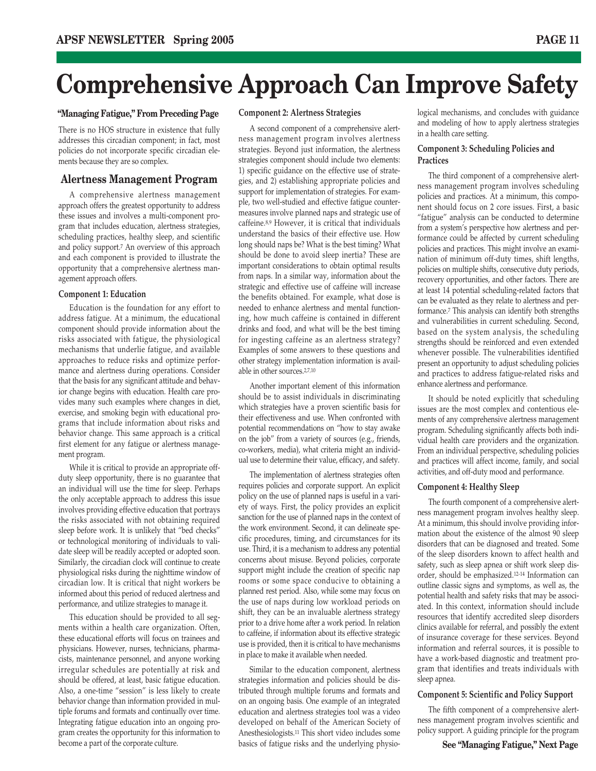## **Comprehensive Approach Can Improve Safety**

#### **"Managing Fatigue," From Preceding Page**

There is no HOS structure in existence that fully addresses this circadian component; in fact, most policies do not incorporate specific circadian elements because they are so complex.

#### **Alertness Management Program**

A comprehensive alertness management approach offers the greatest opportunity to address these issues and involves a multi-component program that includes education, alertness strategies, scheduling practices, healthy sleep, and scientific and policy support.7 An overview of this approach and each component is provided to illustrate the opportunity that a comprehensive alertness management approach offers.

#### **Component 1: Education**

Education is the foundation for any effort to address fatigue. At a minimum, the educational component should provide information about the risks associated with fatigue, the physiological mechanisms that underlie fatigue, and available approaches to reduce risks and optimize performance and alertness during operations. Consider that the basis for any significant attitude and behavior change begins with education. Health care provides many such examples where changes in diet, exercise, and smoking begin with educational programs that include information about risks and behavior change. This same approach is a critical first element for any fatigue or alertness management program.

While it is critical to provide an appropriate offduty sleep opportunity, there is no guarantee that an individual will use the time for sleep. Perhaps the only acceptable approach to address this issue involves providing effective education that portrays the risks associated with not obtaining required sleep before work. It is unlikely that "bed checks" or technological monitoring of individuals to validate sleep will be readily accepted or adopted soon. Similarly, the circadian clock will continue to create physiological risks during the nighttime window of circadian low. It is critical that night workers be informed about this period of reduced alertness and performance, and utilize strategies to manage it.

This education should be provided to all segments within a health care organization. Often, these educational efforts will focus on trainees and physicians. However, nurses, technicians, pharmacists, maintenance personnel, and anyone working irregular schedules are potentially at risk and should be offered, at least, basic fatigue education. Also, a one-time "session" is less likely to create behavior change than information provided in multiple forums and formats and continually over time. Integrating fatigue education into an ongoing program creates the opportunity for this information to become a part of the corporate culture.

#### **Component 2: Alertness Strategies**

A second component of a comprehensive alertness management program involves alertness strategies. Beyond just information, the alertness strategies component should include two elements: 1) specific guidance on the effective use of strategies, and 2) establishing appropriate policies and support for implementation of strategies. For example, two well-studied and effective fatigue countermeasures involve planned naps and strategic use of caffeine.8,9 However, it is critical that individuals understand the basics of their effective use. How long should naps be? What is the best timing? What should be done to avoid sleep inertia? These are important considerations to obtain optimal results from naps. In a similar way, information about the strategic and effective use of caffeine will increase the benefits obtained. For example, what dose is needed to enhance alertness and mental functioning, how much caffeine is contained in different drinks and food, and what will be the best timing for ingesting caffeine as an alertness strategy? Examples of some answers to these questions and other strategy implementation information is available in other sources.2,7,10

Another important element of this information should be to assist individuals in discriminating which strategies have a proven scientific basis for their effectiveness and use. When confronted with potential recommendations on "how to stay awake on the job" from a variety of sources (e.g., friends, co-workers, media), what criteria might an individual use to determine their value, efficacy, and safety.

The implementation of alertness strategies often requires policies and corporate support. An explicit policy on the use of planned naps is useful in a variety of ways. First, the policy provides an explicit sanction for the use of planned naps in the context of the work environment. Second, it can delineate specific procedures, timing, and circumstances for its use. Third, it is a mechanism to address any potential concerns about misuse. Beyond policies, corporate support might include the creation of specific nap rooms or some space conducive to obtaining a planned rest period. Also, while some may focus on the use of naps during low workload periods on shift, they can be an invaluable alertness strategy prior to a drive home after a work period. In relation to caffeine, if information about its effective strategic use is provided, then it is critical to have mechanisms in place to make it available when needed.

Similar to the education component, alertness strategies information and policies should be distributed through multiple forums and formats and on an ongoing basis. One example of an integrated education and alertness strategies tool was a video developed on behalf of the American Society of Anesthesiologists.11 This short video includes some basics of fatigue risks and the underlying physiological mechanisms, and concludes with guidance and modeling of how to apply alertness strategies in a health care setting.

#### **Component 3: Scheduling Policies and Practices**

The third component of a comprehensive alertness management program involves scheduling policies and practices. At a minimum, this component should focus on 2 core issues. First, a basic "fatigue" analysis can be conducted to determine from a system's perspective how alertness and performance could be affected by current scheduling policies and practices. This might involve an examination of minimum off-duty times, shift lengths, policies on multiple shifts, consecutive duty periods, recovery opportunities, and other factors. There are at least 14 potential scheduling-related factors that can be evaluated as they relate to alertness and performance.7 This analysis can identify both strengths and vulnerabilities in current scheduling. Second, based on the system analysis, the scheduling strengths should be reinforced and even extended whenever possible. The vulnerabilities identified present an opportunity to adjust scheduling policies and practices to address fatigue-related risks and enhance alertness and performance.

It should be noted explicitly that scheduling issues are the most complex and contentious elements of any comprehensive alertness management program. Scheduling significantly affects both individual health care providers and the organization. From an individual perspective, scheduling policies and practices will affect income, family, and social activities, and off-duty mood and performance.

#### **Component 4: Healthy Sleep**

The fourth component of a comprehensive alertness management program involves healthy sleep. At a minimum, this should involve providing information about the existence of the almost 90 sleep disorders that can be diagnosed and treated. Some of the sleep disorders known to affect health and safety, such as sleep apnea or shift work sleep disorder, should be emphasized.12-14 Information can outline classic signs and symptoms, as well as, the potential health and safety risks that may be associated. In this context, information should include resources that identify accredited sleep disorders clinics available for referral, and possibly the extent of insurance coverage for these services. Beyond information and referral sources, it is possible to have a work-based diagnostic and treatment program that identifies and treats individuals with sleep apnea.

#### **Component 5: Scientific and Policy Support**

The fifth component of a comprehensive alertness management program involves scientific and policy support. A guiding principle for the program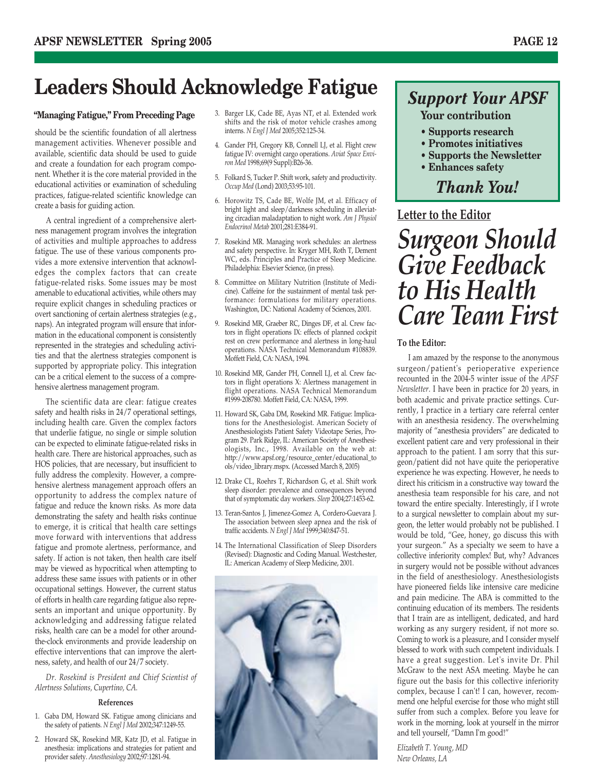### Leaders Should Acknowledge Fatigue **Support Your APSF**

#### **"Managing Fatigue," From Preceding Page**

should be the scientific foundation of all alertness management activities. Whenever possible and available, scientific data should be used to guide and create a foundation for each program component. Whether it is the core material provided in the educational activities or examination of scheduling practices, fatigue-related scientific knowledge can create a basis for guiding action.

A central ingredient of a comprehensive alertness management program involves the integration of activities and multiple approaches to address fatigue. The use of these various components provides a more extensive intervention that acknowledges the complex factors that can create fatigue-related risks. Some issues may be most amenable to educational activities, while others may require explicit changes in scheduling practices or overt sanctioning of certain alertness strategies (e.g., naps). An integrated program will ensure that information in the educational component is consistently represented in the strategies and scheduling activities and that the alertness strategies component is supported by appropriate policy. This integration can be a critical element to the success of a comprehensive alertness management program.

The scientific data are clear: fatigue creates safety and health risks in 24/7 operational settings, including health care. Given the complex factors that underlie fatigue, no single or simple solution can be expected to eliminate fatigue-related risks in health care. There are historical approaches, such as HOS policies, that are necessary, but insufficient to fully address the complexity. However, a comprehensive alertness management approach offers an opportunity to address the complex nature of fatigue and reduce the known risks. As more data demonstrating the safety and health risks continue to emerge, it is critical that health care settings move forward with interventions that address fatigue and promote alertness, performance, and safety. If action is not taken, then health care itself may be viewed as hypocritical when attempting to address these same issues with patients or in other occupational settings. However, the current status of efforts in health care regarding fatigue also represents an important and unique opportunity. By acknowledging and addressing fatigue related risks, health care can be a model for other aroundthe-clock environments and provide leadership on effective interventions that can improve the alertness, safety, and health of our 24/7 society.

*Dr. Rosekind is President and Chief Scientist of Alertness Solutions, Cupertino, CA.*

#### **References**

- 1. Gaba DM, Howard SK. Fatigue among clinicians and the safety of patients. *N Engl J Med* 2002;347:1249-55.
- 2. Howard SK, Rosekind MR, Katz JD, et al. Fatigue in anesthesia: implications and strategies for patient and provider safety. *Anesthesiology* 2002;97:1281-94.
- 3. Barger LK, Cade BE, Ayas NT, et al. Extended work shifts and the risk of motor vehicle crashes among interns. *N Engl J Med* 2005;352:125-34.
- 4. Gander PH, Gregory KB, Connell LJ, et al. Flight crew fatigue IV: overnight cargo operations. *Aviat Space Environ Med* 1998;69(9 Suppl):B26-36.
- 5. Folkard S, Tucker P. Shift work, safety and productivity. *Occup Med* (Lond) 2003;53:95-101.
- 6. Horowitz TS, Cade BE, Wolfe JM, et al. Efficacy of bright light and sleep/darkness scheduling in alleviating circadian maladaptation to night work. *Am J Physiol Endocrinol Metab* 2001;281:E384-91.
- 7. Rosekind MR. Managing work schedules: an alertness and safety perspective. In: Kryger MH, Roth T, Dement WC, eds. Principles and Practice of Sleep Medicine. Philadelphia: Elsevier Science, (in press).
- 8. Committee on Military Nutrition (Institute of Medicine). Caffeine for the sustainment of mental task performance: formulations for military operations. Washington, DC: National Academy of Sciences, 2001.
- 9. Rosekind MR, Graeber RC, Dinges DF, et al. Crew factors in flight operations IX: effects of planned cockpit rest on crew performance and alertness in long-haul operations. NASA Technical Memorandum #108839. Moffett Field, CA: NASA, 1994.
- 10. Rosekind MR, Gander PH, Connell LJ, et al. Crew factors in flight operations X: Alertness management in flight operations. NASA Technical Memorandum #1999-208780. Moffett Field, CA: NASA, 1999.
- 11. Howard SK, Gaba DM, Rosekind MR. Fatigue: Implications for the Anesthesiologist. American Society of Anesthesiologists Patient Safety Videotape Series, Program 29. Park Ridge, IL: American Society of Anesthesiologists, Inc., 1998. Available on the web at: http://www.apsf.org/resource\_center/educational\_to ols/video\_library.mspx. (Accessed March 8, 2005)
- 12. Drake CL, Roehrs T, Richardson G, et al. Shift work sleep disorder: prevalence and consequences beyond that of symptomatic day workers. *Sleep* 2004;27:1453-62.
- 13. Teran-Santos J, Jimenez-Gomez A, Cordero-Guevara J. The association between sleep apnea and the risk of traffic accidents. *N Engl J Med* 1999;340:847-51.
- 14. The International Classification of Sleep Disorders (Revised): Diagnostic and Coding Manual. Westchester, IL: American Academy of Sleep Medicine, 2001.



#### **Your contribution**

- **Supports research**
- **Promotes initiatives**
- **Supports the Newsletter**
- **Enhances safety**

### *Thank You!*

#### **Letter to the Editor**

*Surgeon Should Give Feedback to His Health Care Team First*

#### **To the Editor:**

I am amazed by the response to the anonymous surgeon/patient's perioperative experience recounted in the 2004-5 winter issue of the *APSF Newsletter*. I have been in practice for 20 years, in both academic and private practice settings. Currently, I practice in a tertiary care referral center with an anesthesia residency. The overwhelming majority of "anesthesia providers" are dedicated to excellent patient care and very professional in their approach to the patient. I am sorry that this surgeon/patient did not have quite the perioperative experience he was expecting. However, he needs to direct his criticism in a constructive way toward the anesthesia team responsible for his care, and not toward the entire specialty. Interestingly, if I wrote to a surgical newsletter to complain about my surgeon, the letter would probably not be published. I would be told, "Gee, honey, go discuss this with your surgeon." As a specialty we seem to have a collective inferiority complex! But, why? Advances in surgery would not be possible without advances in the field of anesthesiology. Anesthesiologists have pioneered fields like intensive care medicine and pain medicine. The ABA is committed to the continuing education of its members. The residents that I train are as intelligent, dedicated, and hard working as any surgery resident, if not more so. Coming to work is a pleasure, and I consider myself blessed to work with such competent individuals. I have a great suggestion. Let's invite Dr. Phil McGraw to the next ASA meeting. Maybe he can figure out the basis for this collective inferiority complex, because I can't! I can, however, recommend one helpful exercise for those who might still suffer from such a complex. Before you leave for work in the morning, look at yourself in the mirror and tell yourself, "Damn I'm good!"

*Elizabeth T. Young, MD New Orleans, LA*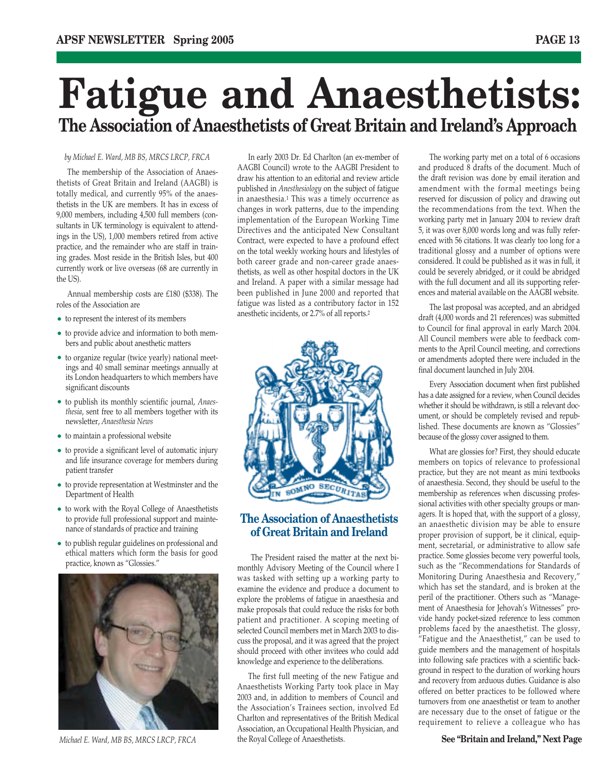## **Fatigue and Anaesthetists: The Association of Anaesthetists of Great Britain and Ireland's Approach**

*by Michael E. Ward, MB BS, MRCS LRCP, FRCA*

The membership of the Association of Anaesthetists of Great Britain and Ireland (AAGBI) is totally medical, and currently 95% of the anaesthetists in the UK are members. It has in excess of 9,000 members, including 4,500 full members (consultants in UK terminology is equivalent to attendings in the US), 1,000 members retired from active practice, and the remainder who are staff in training grades. Most reside in the British Isles, but 400 currently work or live overseas (68 are currently in the US).

Annual membership costs are £180 (\$338). The roles of the Association are

- to represent the interest of its members
- to provide advice and information to both members and public about anesthetic matters
- to organize regular (twice yearly) national meetings and 40 small seminar meetings annually at its London headquarters to which members have significant discounts
- to publish its monthly scientific journal, *Anaesthesia*, sent free to all members together with its newsletter, *Anaesthesia News*
- to maintain a professional website
- to provide a significant level of automatic injury and life insurance coverage for members during patient transfer
- to provide representation at Westminster and the Department of Health
- to work with the Royal College of Anaesthetists to provide full professional support and maintenance of standards of practice and training
- to publish regular guidelines on professional and ethical matters which form the basis for good practice, known as "Glossies."



In early 2003 Dr. Ed Charlton (an ex-member of AAGBI Council) wrote to the AAGBI President to draw his attention to an editorial and review article published in *Anesthesiology* on the subject of fatigue in anaesthesia.1 This was a timely occurrence as changes in work patterns, due to the impending implementation of the European Working Time Directives and the anticipated New Consultant Contract, were expected to have a profound effect on the total weekly working hours and lifestyles of both career grade and non-career grade anaesthetists, as well as other hospital doctors in the UK and Ireland. A paper with a similar message had been published in June 2000 and reported that fatigue was listed as a contributory factor in 152 anesthetic incidents, or 2.7% of all reports.2



#### **The Association of Anaesthetists of Great Britain and Ireland**

The President raised the matter at the next bimonthly Advisory Meeting of the Council where I was tasked with setting up a working party to examine the evidence and produce a document to explore the problems of fatigue in anaesthesia and make proposals that could reduce the risks for both patient and practitioner. A scoping meeting of selected Council members met in March 2003 to discuss the proposal, and it was agreed that the project should proceed with other invitees who could add knowledge and experience to the deliberations.

The first full meeting of the new Fatigue and Anaesthetists Working Party took place in May 2003 and, in addition to members of Council and the Association's Trainees section, involved Ed Charlton and representatives of the British Medical Association, an Occupational Health Physician, and the Royal College of Anaesthetists. *Michael E. Ward, MB BS, MRCS LRCP, FRCA* **See "Britain and Ireland," Next Page**   $\overline{S}$ 

The working party met on a total of 6 occasions and produced 8 drafts of the document. Much of the draft revision was done by email iteration and amendment with the formal meetings being reserved for discussion of policy and drawing out the recommendations from the text. When the working party met in January 2004 to review draft 5, it was over 8,000 words long and was fully referenced with 56 citations. It was clearly too long for a traditional glossy and a number of options were considered. It could be published as it was in full, it could be severely abridged, or it could be abridged with the full document and all its supporting references and material available on the AAGBI website.

The last proposal was accepted, and an abridged draft (4,000 words and 21 references) was submitted to Council for final approval in early March 2004. All Council members were able to feedback comments to the April Council meeting, and corrections or amendments adopted there were included in the final document launched in July 2004.

Every Association document when first published has a date assigned for a review, when Council decides whether it should be withdrawn, is still a relevant document, or should be completely revised and republished. These documents are known as "Glossies" because of the glossy cover assigned to them.

What are glossies for? First, they should educate members on topics of relevance to professional practice, but they are not meant as mini textbooks of anaesthesia. Second, they should be useful to the membership as references when discussing professional activities with other specialty groups or managers. It is hoped that, with the support of a glossy, an anaesthetic division may be able to ensure proper provision of support, be it clinical, equipment, secretarial, or administrative to allow safe practice. Some glossies become very powerful tools, such as the "Recommendations for Standards of Monitoring During Anaesthesia and Recovery," which has set the standard, and is broken at the peril of the practitioner. Others such as "Management of Anaesthesia for Jehovah's Witnesses" provide handy pocket-sized reference to less common problems faced by the anaesthetist. The glossy, "Fatigue and the Anaesthetist," can be used to guide members and the management of hospitals into following safe practices with a scientific background in respect to the duration of working hours and recovery from arduous duties. Guidance is also offered on better practices to be followed where turnovers from one anaesthetist or team to another are necessary due to the onset of fatigue or the requirement to relieve a colleague who has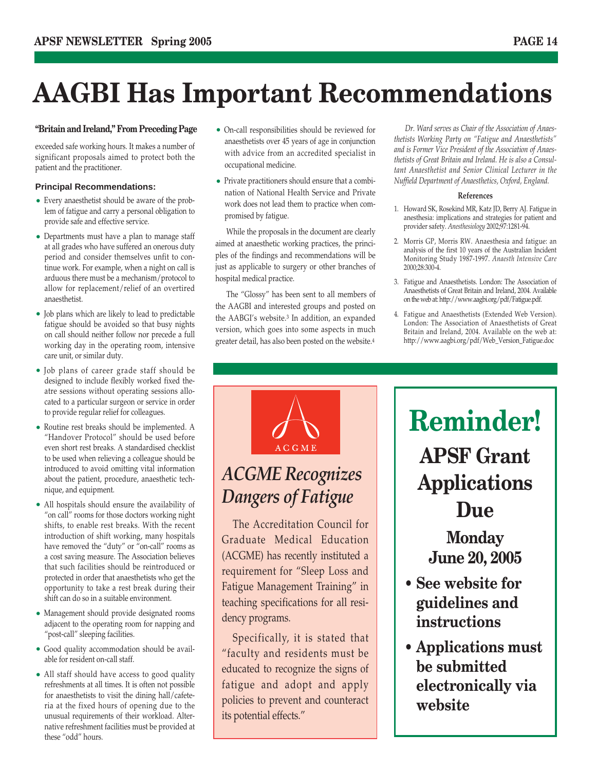## **AAGBI Has Important Recommendations**

#### **"Britain and Ireland," From Preceding Page**

exceeded safe working hours. It makes a number of significant proposals aimed to protect both the patient and the practitioner.

#### **Principal Recommendations:**

- Every anaesthetist should be aware of the problem of fatigue and carry a personal obligation to provide safe and effective service.
- Departments must have a plan to manage staff at all grades who have suffered an onerous duty period and consider themselves unfit to continue work. For example, when a night on call is arduous there must be a mechanism/protocol to allow for replacement/relief of an overtired anaesthetist.
- Job plans which are likely to lead to predictable fatigue should be avoided so that busy nights on call should neither follow nor precede a full working day in the operating room, intensive care unit, or similar duty.
- Job plans of career grade staff should be designed to include flexibly worked fixed theatre sessions without operating sessions allocated to a particular surgeon or service in order to provide regular relief for colleagues.
- Routine rest breaks should be implemented. A "Handover Protocol" should be used before even short rest breaks. A standardised checklist to be used when relieving a colleague should be introduced to avoid omitting vital information about the patient, procedure, anaesthetic technique, and equipment.
- All hospitals should ensure the availability of "on call" rooms for those doctors working night shifts, to enable rest breaks. With the recent introduction of shift working, many hospitals have removed the "duty" or "on-call" rooms as a cost saving measure. The Association believes that such facilities should be reintroduced or protected in order that anaesthetists who get the opportunity to take a rest break during their shift can do so in a suitable environment.
- Management should provide designated rooms adjacent to the operating room for napping and "post-call" sleeping facilities.
- Good quality accommodation should be available for resident on-call staff.
- All staff should have access to good quality refreshments at all times. It is often not possible for anaesthetists to visit the dining hall/cafeteria at the fixed hours of opening due to the unusual requirements of their workload. Alternative refreshment facilities must be provided at these "odd" hours.
- On-call responsibilities should be reviewed for anaesthetists over 45 years of age in conjunction with advice from an accredited specialist in occupational medicine.
- Private practitioners should ensure that a combination of National Health Service and Private work does not lead them to practice when compromised by fatigue.

While the proposals in the document are clearly aimed at anaesthetic working practices, the principles of the findings and recommendations will be just as applicable to surgery or other branches of hospital medical practice.

The "Glossy" has been sent to all members of the AAGBI and interested groups and posted on the AABGI's website.3 In addition, an expanded version, which goes into some aspects in much greater detail, has also been posted on the website.4

*Dr. Ward serves as Chair of the Association of Anaesthetists Working Party on "Fatigue and Anaesthetists" and is Former Vice President of the Association of Anaesthetists of Great Britain and Ireland. He is also a Consultant Anaesthetist and Senior Clinical Lecturer in the Nuffield Department of Anaesthetics, Oxford, England.*

#### **References**

- 1. Howard SK, Rosekind MR, Katz JD, Berry AJ. Fatigue in anesthesia: implications and strategies for patient and provider safety. *Anesthesiology* 2002;97:1281-94.
- 2. Morris GP, Morris RW. Anaesthesia and fatigue: an analysis of the first 10 years of the Australian Incident Monitoring Study 1987-1997. *Anaesth Intensive Care* 2000;28:300-4.
- 3. Fatigue and Anaesthetists. London: The Association of Anaesthetists of Great Britain and Ireland, 2004. Available on the web at: http://www.aagbi.org/pdf/Fatigue.pdf.
- 4. Fatigue and Anaesthetists (Extended Web Version). London: The Association of Anaesthetists of Great Britain and Ireland, 2004. Available on the web at: http://www.aagbi.org/pdf/Web\_Version\_Fatigue.doc

### **ACGME** *ACGME Recognizes Dangers of Fatigue*

The Accreditation Council for Graduate Medical Education (ACGME) has recently instituted a requirement for "Sleep Loss and Fatigue Management Training" in teaching specifications for all residency programs.

Specifically, it is stated that "faculty and residents must be educated to recognize the signs of fatigue and adopt and apply policies to prevent and counteract its potential effects."

### **Reminder! APSF Grant Applications Due**

### **Monday June 20, 2005**

- **See website for guidelines and instructions**
- **Applications must be submitted electronically via website**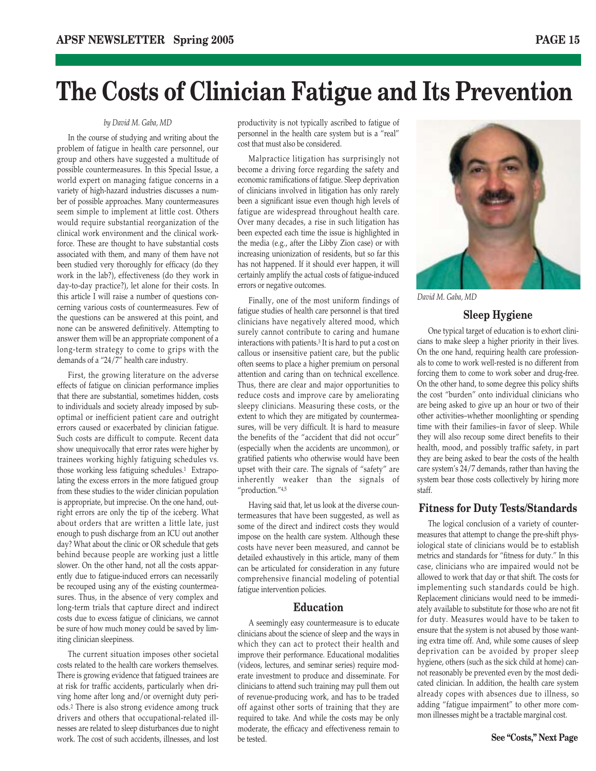### **The Costs of Clinician Fatigue and Its Prevention**

#### *by David M. Gaba, MD*

In the course of studying and writing about the problem of fatigue in health care personnel, our group and others have suggested a multitude of possible countermeasures. In this Special Issue, a world expert on managing fatigue concerns in a variety of high-hazard industries discusses a number of possible approaches. Many countermeasures seem simple to implement at little cost. Others would require substantial reorganization of the clinical work environment and the clinical workforce. These are thought to have substantial costs associated with them, and many of them have not been studied very thoroughly for efficacy (do they work in the lab?), effectiveness (do they work in day-to-day practice?), let alone for their costs. In this article I will raise a number of questions concerning various costs of countermeasures. Few of the questions can be answered at this point, and none can be answered definitively. Attempting to answer them will be an appropriate component of a long-term strategy to come to grips with the demands of a "24/7" health care industry.

First, the growing literature on the adverse effects of fatigue on clinician performance implies that there are substantial, sometimes hidden, costs to individuals and society already imposed by suboptimal or inefficient patient care and outright errors caused or exacerbated by clinician fatigue. Such costs are difficult to compute. Recent data show unequivocally that error rates were higher by trainees working highly fatiguing schedules vs. those working less fatiguing schedules.1 Extrapolating the excess errors in the more fatigued group from these studies to the wider clinician population is appropriate, but imprecise. On the one hand, outright errors are only the tip of the iceberg. What about orders that are written a little late, just enough to push discharge from an ICU out another day? What about the clinic or OR schedule that gets behind because people are working just a little slower. On the other hand, not all the costs apparently due to fatigue-induced errors can necessarily be recouped using any of the existing countermeasures. Thus, in the absence of very complex and long-term trials that capture direct and indirect costs due to excess fatigue of clinicians, we cannot be sure of how much money could be saved by limiting clinician sleepiness.

The current situation imposes other societal costs related to the health care workers themselves. There is growing evidence that fatigued trainees are at risk for traffic accidents, particularly when driving home after long and/or overnight duty periods.2 There is also strong evidence among truck drivers and others that occupational-related illnesses are related to sleep disturbances due to night work. The cost of such accidents, illnesses, and lost

productivity is not typically ascribed to fatigue of personnel in the health care system but is a "real" cost that must also be considered.

Malpractice litigation has surprisingly not become a driving force regarding the safety and economic ramifications of fatigue. Sleep deprivation of clinicians involved in litigation has only rarely been a significant issue even though high levels of fatigue are widespread throughout health care. Over many decades, a rise in such litigation has been expected each time the issue is highlighted in the media (e.g., after the Libby Zion case) or with increasing unionization of residents, but so far this has not happened. If it should ever happen, it will certainly amplify the actual costs of fatigue-induced errors or negative outcomes.

Finally, one of the most uniform findings of fatigue studies of health care personnel is that tired clinicians have negatively altered mood, which surely cannot contribute to caring and humane interactions with patients.3 It is hard to put a cost on callous or insensitive patient care, but the public often seems to place a higher premium on personal attention and caring than on technical excellence. Thus, there are clear and major opportunities to reduce costs and improve care by ameliorating sleepy clinicians. Measuring these costs, or the extent to which they are mitigated by countermeasures, will be very difficult. It is hard to measure the benefits of the "accident that did not occur" (especially when the accidents are uncommon), or gratified patients who otherwise would have been upset with their care. The signals of "safety" are inherently weaker than the signals of "production."4,5

Having said that, let us look at the diverse countermeasures that have been suggested, as well as some of the direct and indirect costs they would impose on the health care system. Although these costs have never been measured, and cannot be detailed exhaustively in this article, many of them can be articulated for consideration in any future comprehensive financial modeling of potential fatigue intervention policies.

#### **Education**

A seemingly easy countermeasure is to educate clinicians about the science of sleep and the ways in which they can act to protect their health and improve their performance. Educational modalities (videos, lectures, and seminar series) require moderate investment to produce and disseminate. For clinicians to attend such training may pull them out of revenue-producing work, and has to be traded off against other sorts of training that they are required to take. And while the costs may be only moderate, the efficacy and effectiveness remain to be tested.



*David M. Gaba, MD*

#### **Sleep Hygiene**

One typical target of education is to exhort clinicians to make sleep a higher priority in their lives. On the one hand, requiring health care professionals to come to work well-rested is no different from forcing them to come to work sober and drug-free. On the other hand, to some degree this policy shifts the cost "burden" onto individual clinicians who are being asked to give up an hour or two of their other activities–whether moonlighting or spending time with their families–in favor of sleep. While they will also recoup some direct benefits to their health, mood, and possibly traffic safety, in part they are being asked to bear the costs of the health care system's 24/7 demands, rather than having the system bear those costs collectively by hiring more staff.

#### **Fitness for Duty Tests/Standards**

The logical conclusion of a variety of countermeasures that attempt to change the pre-shift physiological state of clinicians would be to establish metrics and standards for "fitness for duty." In this case, clinicians who are impaired would not be allowed to work that day or that shift. The costs for implementing such standards could be high. Replacement clinicians would need to be immediately available to substitute for those who are not fit for duty. Measures would have to be taken to ensure that the system is not abused by those wanting extra time off. And, while some causes of sleep deprivation can be avoided by proper sleep hygiene, others (such as the sick child at home) cannot reasonably be prevented even by the most dedicated clinician. In addition, the health care system already copes with absences due to illness, so adding "fatigue impairment" to other more common illnesses might be a tractable marginal cost.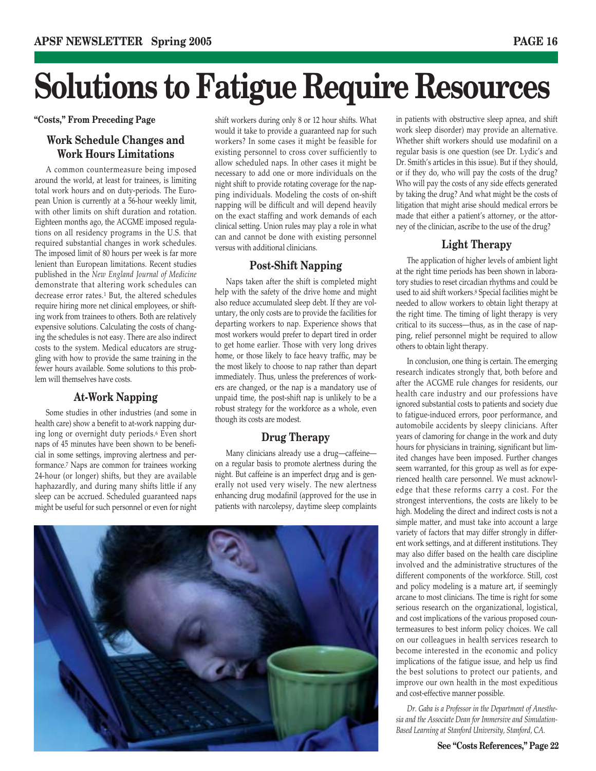# **Solutions to Fatigue Require Resources**

#### **Work Schedule Changes and Work Hours Limitations**

A common countermeasure being imposed around the world, at least for trainees, is limiting total work hours and on duty-periods. The European Union is currently at a 56-hour weekly limit, with other limits on shift duration and rotation. Eighteen months ago, the ACGME imposed regulations on all residency programs in the U.S. that required substantial changes in work schedules. The imposed limit of 80 hours per week is far more lenient than European limitations. Recent studies published in the *New England Journal of Medicine* demonstrate that altering work schedules can decrease error rates.1 But, the altered schedules require hiring more net clinical employees, or shifting work from trainees to others. Both are relatively expensive solutions. Calculating the costs of changing the schedules is not easy. There are also indirect costs to the system. Medical educators are struggling with how to provide the same training in the fewer hours available. Some solutions to this problem will themselves have costs.

#### **At-Work Napping**

Some studies in other industries (and some in health care) show a benefit to at-work napping during long or overnight duty periods.6 Even short naps of 45 minutes have been shown to be beneficial in some settings, improving alertness and performance.7 Naps are common for trainees working 24-hour (or longer) shifts, but they are available haphazardly, and during many shifts little if any sleep can be accrued. Scheduled guaranteed naps might be useful for such personnel or even for night

**"Costs," From Preceding Page** shift workers during only 8 or 12 hour shifts. What in patients with obstructive sleep apnea, and shift would it take to provide a guaranteed nap for such workers? In some cases it might be feasible for existing personnel to cross cover sufficiently to allow scheduled naps. In other cases it might be necessary to add one or more individuals on the night shift to provide rotating coverage for the napping individuals. Modeling the costs of on-shift napping will be difficult and will depend heavily on the exact staffing and work demands of each clinical setting. Union rules may play a role in what can and cannot be done with existing personnel versus with additional clinicians.

#### **Post-Shift Napping**

Naps taken after the shift is completed might help with the safety of the drive home and might also reduce accumulated sleep debt. If they are voluntary, the only costs are to provide the facilities for departing workers to nap. Experience shows that most workers would prefer to depart tired in order to get home earlier. Those with very long drives home, or those likely to face heavy traffic, may be the most likely to choose to nap rather than depart immediately. Thus, unless the preferences of workers are changed, or the nap is a mandatory use of unpaid time, the post-shift nap is unlikely to be a robust strategy for the workforce as a whole, even though its costs are modest.

#### **Drug Therapy**

Many clinicians already use a drug—caffeine on a regular basis to promote alertness during the night. But caffeine is an imperfect drug and is generally not used very wisely. The new alertness enhancing drug modafinil (approved for the use in patients with narcolepsy, daytime sleep complaints



work sleep disorder) may provide an alternative. Whether shift workers should use modafinil on a regular basis is one question (see Dr. Lydic's and Dr. Smith's articles in this issue). But if they should, or if they do, who will pay the costs of the drug? Who will pay the costs of any side effects generated by taking the drug? And what might be the costs of litigation that might arise should medical errors be made that either a patient's attorney, or the attorney of the clinician, ascribe to the use of the drug?

#### **Light Therapy**

The application of higher levels of ambient light at the right time periods has been shown in laboratory studies to reset circadian rhythms and could be used to aid shift workers.8 Special facilities might be needed to allow workers to obtain light therapy at the right time. The timing of light therapy is very critical to its success—thus, as in the case of napping, relief personnel might be required to allow others to obtain light therapy.

In conclusion, one thing is certain. The emerging research indicates strongly that, both before and after the ACGME rule changes for residents, our health care industry and our professions have ignored substantial costs to patients and society due to fatigue-induced errors, poor performance, and automobile accidents by sleepy clinicians. After years of clamoring for change in the work and duty hours for physicians in training, significant but limited changes have been imposed. Further changes seem warranted, for this group as well as for experienced health care personnel. We must acknowledge that these reforms carry a cost. For the strongest interventions, the costs are likely to be high. Modeling the direct and indirect costs is not a simple matter, and must take into account a large variety of factors that may differ strongly in different work settings, and at different institutions. They may also differ based on the health care discipline involved and the administrative structures of the different components of the workforce. Still, cost and policy modeling is a mature art, if seemingly arcane to most clinicians. The time is right for some serious research on the organizational, logistical, and cost implications of the various proposed countermeasures to best inform policy choices. We call on our colleagues in health services research to become interested in the economic and policy implications of the fatigue issue, and help us find the best solutions to protect our patients, and improve our own health in the most expeditious and cost-effective manner possible.

*Dr. Gaba is a Professor in the Department of Anesthesia and the Associate Dean for Immersive and Simulation-Based Learning at Stanford University, Stanford, CA.*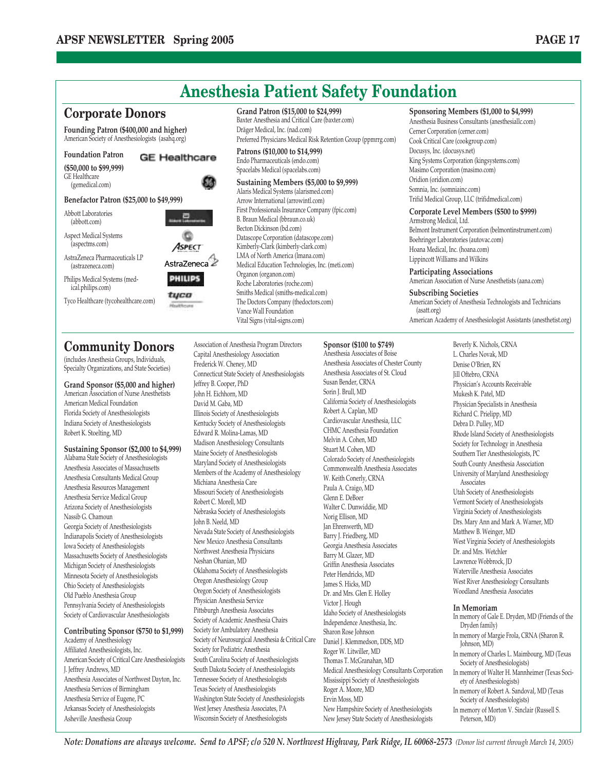

(includes Anesthesia Groups, Individuals, Specialty Organizations, and State Societies)

**Grand Sponsor (\$5,000 and higher)** American Association of Nurse Anesthetists American Medical Foundation Florida Society of Anesthesiologists Indiana Society of Anesthesiologists Robert K. Stoelting, MD

**Sustaining Sponsor (\$2,000 to \$4,999)**

Alabama State Society of Anesthesiologists Anesthesia Associates of Massachusetts Anesthesia Consultants Medical Group Anesthesia Resources Management Anesthesia Service Medical Group Arizona Society of Anesthesiologists Nassib G. Chamoun Georgia Society of Anesthesiologists Indianapolis Society of Anesthesiologists Iowa Society of Anesthesiologists Massachusetts Society of Anesthesiologists Michigan Society of Anesthesiologists Minnesota Society of Anesthesiologists Ohio Society of Anesthesiologists Old Pueblo Anesthesia Group Pennsylvania Society of Anesthesiologists Society of Cardiovascular Anesthesiologists

#### **Contributing Sponsor (\$750 to \$1,999)** Academy of Anesthesiology

Affiliated Anesthesiologists, Inc. American Society of Critical Care Anesthesiologists J. Jeffrey Andrews, MD Anesthesia Associates of Northwest Dayton, Inc. Anesthesia Services of Birmingham Anesthesia Service of Eugene, PC Arkansas Society of Anesthesiologists Asheville Anesthesia Group

Capital Anesthesiology Association Frederick W. Cheney, MD Connecticut State Society of Anesthesiologists Jeffrey B. Cooper, PhD John H. Eichhorn, MD David M. Gaba, MD Illinois Society of Anesthesiologists Kentucky Society of Anesthesiologists Edward R. Molina-Lamas, MD Madison Anesthesiology Consultants Maine Society of Anesthesiologists Maryland Society of Anesthesiologists Members of the Academy of Anesthesiology Michiana Anesthesia Care Missouri Society of Anesthesiologists Robert C. Morell, MD Nebraska Society of Anesthesiologists John B. Neeld, MD Nevada State Society of Anesthesiologists New Mexico Anesthesia Consultants Northwest Anesthesia Physicians Neshan Ohanian, MD Oklahoma Society of Anesthesiologists Oregon Anesthesiology Group Oregon Society of Anesthesiologists Physician Anesthesia Service Pittsburgh Anesthesia Associates Society of Academic Anesthesia Chairs Society for Ambulatory Anesthesia Society of Neurosurgical Anesthesia & Critical Care Society for Pediatric Anesthesia South Carolina Society of Anesthesiologists South Dakota Society of Anesthesiologists Tennessee Society of Anesthesiologists Texas Society of Anesthesiologists Washington State Society of Anesthesiologists West Jersey Anesthesia Associates, PA Wisconsin Society of Anesthesiologists

Anesthesia Associates of Boise Anesthesia Associates of Chester County Anesthesia Associates of St. Cloud Susan Bender, CRNA Sorin J. Brull, MD California Society of Anesthesiologists Robert A. Caplan, MD Cardiovascular Anesthesia, LLC CHMC Anesthesia Foundation Melvin A. Cohen, MD Stuart M. Cohen, MD Colorado Society of Anesthesiologists Commonwealth Anesthesia Associates W. Keith Conerly, CRNA Paula A. Craigo, MD Glenn E. DeBoer Walter C. Dunwiddie, MD Norig Ellison, MD Jan Ehrenwerth, MD Barry J. Friedberg, MD Georgia Anesthesia Associates Barry M. Glazer, MD Griffin Anesthesia Associates Peter Hendricks, MD James S. Hicks, MD Dr. and Mrs. Glen E. Holley Victor J. Hough Idaho Society of Anesthesiologists Independence Anesthesia, Inc. Sharon Rose Johnson Daniel J. Klemmedson, DDS, MD Roger W. Litwiller, MD Thomas T. McGranahan, MD Medical Anesthesiology Consultants Corporation Mississippi Society of Anesthesiologists Roger A. Moore, MD Ervin Moss, MD

> New Hampshire Society of Anesthesiologists New Jersey State Society of Anesthesiologists

L. Charles Novak, MD Denise O'Brien, RN Jill Oftebro, CRNA Physician's Accounts Receivable Mukesh K. Patel, MD Physician Specialists in Anesthesia Richard C. Prielipp, MD Debra D. Pulley, MD Rhode Island Society of Anesthesiologists Society for Technology in Anesthesia Southern Tier Anesthesiologists, PC South County Anesthesia Association University of Maryland Anesthesiology Associates Utah Society of Anesthesiologists Vermont Society of Anesthesiologists Virginia Society of Anesthesiologists Drs. Mary Ann and Mark A. Warner, MD Matthew B. Weinger, MD West Virginia Society of Anesthesiologists Dr. and Mrs. Wetchler Lawrence Wobbrock, JD Waterville Anesthesia Associates West River Anesthesiology Consultants Woodland Anesthesia Associates

#### **In Memoriam**

In memory of Gale E. Dryden, MD (Friends of the Dryden family) In memory of Margie Frola, CRNA (Sharon R. Johnson, MD) In memory of Charles L. Maimbourg, MD (Texas Society of Anesthesiologists) In memory of Walter H. Mannheimer (Texas Society of Anesthesiologists) In memory of Robert A. Sandoval, MD (Texas Society of Anesthesiologists) In memory of Morton V. Sinclair (Russell S. Peterson, MD)

*Note: Donations are always welcome. Send to APSF; c/o 520 N. Northwest Highway, Park Ridge, IL 60068-2573 (Donor list current through March 14, 2005)*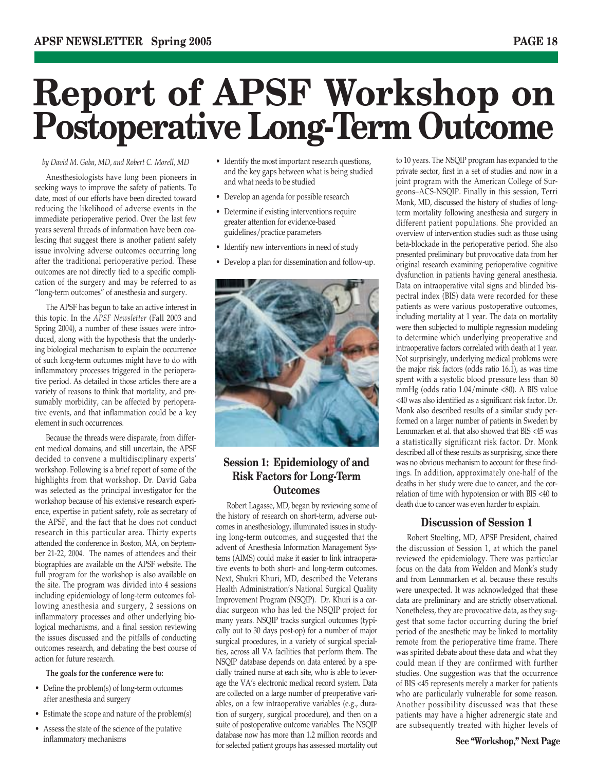## **Report of APSF Workshop on Postoperative Long-Term Outcome**

*by David M. Gaba, MD, and Robert C. Morell, MD*

Anesthesiologists have long been pioneers in seeking ways to improve the safety of patients. To date, most of our efforts have been directed toward reducing the likelihood of adverse events in the immediate perioperative period. Over the last few years several threads of information have been coalescing that suggest there is another patient safety issue involving adverse outcomes occurring long after the traditional perioperative period. These outcomes are not directly tied to a specific complication of the surgery and may be referred to as "long-term outcomes" of anesthesia and surgery.

The APSF has begun to take an active interest in this topic. In the *APSF Newsletter* (Fall 2003 and Spring 2004), a number of these issues were introduced, along with the hypothesis that the underlying biological mechanism to explain the occurrence of such long-term outcomes might have to do with inflammatory processes triggered in the perioperative period. As detailed in those articles there are a variety of reasons to think that mortality, and presumably morbidity, can be affected by perioperative events, and that inflammation could be a key element in such occurrences.

Because the threads were disparate, from different medical domains, and still uncertain, the APSF decided to convene a multidisciplinary experts' workshop. Following is a brief report of some of the highlights from that workshop. Dr. David Gaba was selected as the principal investigator for the workshop because of his extensive research experience, expertise in patient safety, role as secretary of the APSF, and the fact that he does not conduct research in this particular area. Thirty experts attended the conference in Boston, MA, on September 21-22, 2004. The names of attendees and their biographies are available on the APSF website. The full program for the workshop is also available on the site. The program was divided into 4 sessions including epidemiology of long-term outcomes following anesthesia and surgery, 2 sessions on inflammatory processes and other underlying biological mechanisms, and a final session reviewing the issues discussed and the pitfalls of conducting outcomes research, and debating the best course of action for future research.

#### **The goals for the conference were to:**

- Define the problem(s) of long-term outcomes after anesthesia and surgery
- Estimate the scope and nature of the problem(s)
- Assess the state of the science of the putative
- Identify the most important research questions, and the key gaps between what is being studied and what needs to be studied
- Develop an agenda for possible research
- Determine if existing interventions require greater attention for evidence-based guidelines/practice parameters
- Identify new interventions in need of study
- Develop a plan for dissemination and follow-up.



#### **Session 1: Epidemiology of and Risk Factors for Long-Term Outcomes**

Robert Lagasse, MD, began by reviewing some of the history of research on short-term, adverse outcomes in anesthesiology, illuminated issues in studying long-term outcomes, and suggested that the advent of Anesthesia Information Management Systems (AIMS) could make it easier to link intraoperative events to both short- and long-term outcomes. Next, Shukri Khuri, MD, described the Veterans Health Administration's National Surgical Quality Improvement Program (NSQIP). Dr. Khuri is a cardiac surgeon who has led the NSQIP project for many years. NSQIP tracks surgical outcomes (typically out to 30 days post-op) for a number of major surgical procedures, in a variety of surgical specialties, across all VA facilities that perform them. The NSQIP database depends on data entered by a specially trained nurse at each site, who is able to leverage the VA's electronic medical record system. Data are collected on a large number of preoperative variables, on a few intraoperative variables (e.g., duration of surgery, surgical procedure), and then on a suite of postoperative outcome variables. The NSQIP database now has more than 1.2 million records and for selected patient groups has assessed mortality out inflammatory mechanisms **See "Workshop," Next Page**

to 10 years. The NSQIP program has expanded to the private sector, first in a set of studies and now in a joint program with the American College of Surgeons–ACS-NSQIP. Finally in this session, Terri Monk, MD, discussed the history of studies of longterm mortality following anesthesia and surgery in different patient populations. She provided an overview of intervention studies such as those using beta-blockade in the perioperative period. She also presented preliminary but provocative data from her original research examining perioperative cognitive dysfunction in patients having general anesthesia. Data on intraoperative vital signs and blinded bispectral index (BIS) data were recorded for these patients as were various postoperative outcomes, including mortality at 1 year. The data on mortality were then subjected to multiple regression modeling to determine which underlying preoperative and intraoperative factors correlated with death at 1 year. Not surprisingly, underlying medical problems were the major risk factors (odds ratio 16.1), as was time spent with a systolic blood pressure less than 80 mmHg (odds ratio 1.04/minute <80). A BIS value <40 was also identified as a significant risk factor. Dr. Monk also described results of a similar study performed on a larger number of patients in Sweden by Lennmarken et al. that also showed that BIS <45 was a statistically significant risk factor. Dr. Monk described all of these results as surprising, since there was no obvious mechanism to account for these findings. In addition, approximately one-half of the deaths in her study were due to cancer, and the correlation of time with hypotension or with BIS <40 to death due to cancer was even harder to explain.

#### **Discussion of Session 1**

Robert Stoelting, MD, APSF President, chaired the discussion of Session 1, at which the panel reviewed the epidemiology. There was particular focus on the data from Weldon and Monk's study and from Lennmarken et al. because these results were unexpected. It was acknowledged that these data are preliminary and are strictly observational. Nonetheless, they are provocative data, as they suggest that some factor occurring during the brief period of the anesthetic may be linked to mortality remote from the perioperative time frame. There was spirited debate about these data and what they could mean if they are confirmed with further studies. One suggestion was that the occurrence of BIS <45 represents merely a marker for patients who are particularly vulnerable for some reason. Another possibility discussed was that these patients may have a higher adrenergic state and are subsequently treated with higher levels of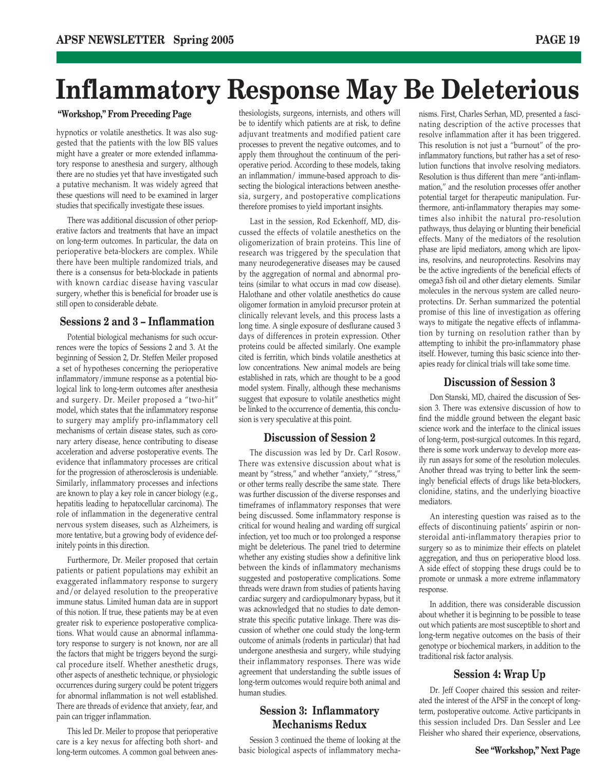### **Inflammatory Response May Be Deleterious**

#### **"Workshop," From Preceding Page**

hypnotics or volatile anesthetics. It was also suggested that the patients with the low BIS values might have a greater or more extended inflammatory response to anesthesia and surgery, although there are no studies yet that have investigated such a putative mechanism. It was widely agreed that these questions will need to be examined in larger studies that specifically investigate these issues.

There was additional discussion of other perioperative factors and treatments that have an impact on long-term outcomes. In particular, the data on perioperative beta-blockers are complex. While there have been multiple randomized trials, and there is a consensus for beta-blockade in patients with known cardiac disease having vascular surgery, whether this is beneficial for broader use is still open to considerable debate.

#### **Sessions 2 and 3 – Inflammation**

Potential biological mechanisms for such occurrences were the topics of Sessions 2 and 3. At the beginning of Session 2, Dr. Steffen Meiler proposed a set of hypotheses concerning the perioperative inflammatory/immune response as a potential biological link to long-term outcomes after anesthesia and surgery. Dr. Meiler proposed a "two-hit" model, which states that the inflammatory response to surgery may amplify pro-inflammatory cell mechanisms of certain disease states, such as coronary artery disease, hence contributing to disease acceleration and adverse postoperative events. The evidence that inflammatory processes are critical for the progression of atherosclerosis is undeniable. Similarly, inflammatory processes and infections are known to play a key role in cancer biology (e.g., hepatitis leading to hepatocellular carcinoma). The role of inflammation in the degenerative central nervous system diseases, such as Alzheimers, is more tentative, but a growing body of evidence definitely points in this direction.

Furthermore, Dr. Meiler proposed that certain patients or patient populations may exhibit an exaggerated inflammatory response to surgery and/or delayed resolution to the preoperative immune status. Limited human data are in support of this notion. If true, these patients may be at even greater risk to experience postoperative complications. What would cause an abnormal inflammatory response to surgery is not known, nor are all the factors that might be triggers beyond the surgical procedure itself. Whether anesthetic drugs, other aspects of anesthetic technique, or physiologic occurrences during surgery could be potent triggers for abnormal inflammation is not well established. There are threads of evidence that anxiety, fear, and pain can trigger inflammation.

This led Dr. Meiler to propose that perioperative care is a key nexus for affecting both short- and long-term outcomes. A common goal between anes-

thesiologists, surgeons, internists, and others will be to identify which patients are at risk, to define adjuvant treatments and modified patient care processes to prevent the negative outcomes, and to apply them throughout the continuum of the perioperative period. According to these models, taking an inflammation/ immune-based approach to dissecting the biological interactions between anesthesia, surgery, and postoperative complications therefore promises to yield important insights.

Last in the session, Rod Eckenhoff, MD, discussed the effects of volatile anesthetics on the oligomerization of brain proteins. This line of research was triggered by the speculation that many neurodegenerative diseases may be caused by the aggregation of normal and abnormal proteins (similar to what occurs in mad cow disease). Halothane and other volatile anesthetics do cause oligomer formation in amyloid precursor protein at clinically relevant levels, and this process lasts a long time. A single exposure of desflurane caused 3 days of differences in protein expression. Other proteins could be affected similarly. One example cited is ferritin, which binds volatile anesthetics at low concentrations. New animal models are being established in rats, which are thought to be a good model system. Finally, although these mechanisms suggest that exposure to volatile anesthetics might be linked to the occurrence of dementia, this conclusion is very speculative at this point.

#### **Discussion of Session 2**

The discussion was led by Dr. Carl Rosow. There was extensive discussion about what is meant by "stress," and whether "anxiety," "stress," or other terms really describe the same state. There was further discussion of the diverse responses and timeframes of inflammatory responses that were being discussed. Some inflammatory response is critical for wound healing and warding off surgical infection, yet too much or too prolonged a response might be deleterious. The panel tried to determine whether any existing studies show a definitive link between the kinds of inflammatory mechanisms suggested and postoperative complications. Some threads were drawn from studies of patients having cardiac surgery and cardiopulmonary bypass, but it was acknowledged that no studies to date demonstrate this specific putative linkage. There was discussion of whether one could study the long-term outcome of animals (rodents in particular) that had undergone anesthesia and surgery, while studying their inflammatory responses. There was wide agreement that understanding the subtle issues of long-term outcomes would require both animal and human studies.

#### **Session 3: Inflammatory Mechanisms Redux**

Session 3 continued the theme of looking at the basic biological aspects of inflammatory mechanisms. First, Charles Serhan, MD, presented a fascinating description of the active processes that resolve inflammation after it has been triggered. This resolution is not just a "burnout" of the proinflammatory functions, but rather has a set of resolution functions that involve resolving mediators. Resolution is thus different than mere "anti-inflammation," and the resolution processes offer another potential target for therapeutic manipulation. Furthermore, anti-inflammatory therapies may sometimes also inhibit the natural pro-resolution pathways, thus delaying or blunting their beneficial effects. Many of the mediators of the resolution phase are lipid mediators, among which are lipoxins, resolvins, and neuroprotectins. Resolvins may be the active ingredients of the beneficial effects of omega3 fish oil and other dietary elements. Similar molecules in the nervous system are called neuroprotectins. Dr. Serhan summarized the potential promise of this line of investigation as offering ways to mitigate the negative effects of inflammation by turning on resolution rather than by attempting to inhibit the pro-inflammatory phase itself. However, turning this basic science into therapies ready for clinical trials will take some time.

#### **Discussion of Session 3**

Don Stanski, MD, chaired the discussion of Session 3. There was extensive discussion of how to find the middle ground between the elegant basic science work and the interface to the clinical issues of long-term, post-surgical outcomes. In this regard, there is some work underway to develop more easily run assays for some of the resolution molecules. Another thread was trying to better link the seemingly beneficial effects of drugs like beta-blockers, clonidine, statins, and the underlying bioactive mediators.

An interesting question was raised as to the effects of discontinuing patients' aspirin or nonsteroidal anti-inflammatory therapies prior to surgery so as to minimize their effects on platelet aggregation, and thus on perioperative blood loss. A side effect of stopping these drugs could be to promote or unmask a more extreme inflammatory response.

In addition, there was considerable discussion about whether it is beginning to be possible to tease out which patients are most susceptible to short and long-term negative outcomes on the basis of their genotype or biochemical markers, in addition to the traditional risk factor analysis.

#### **Session 4: Wrap Up**

Dr. Jeff Cooper chaired this session and reiterated the interest of the APSF in the concept of longterm, postoperative outcome. Active participants in this session included Drs. Dan Sessler and Lee Fleisher who shared their experience, observations,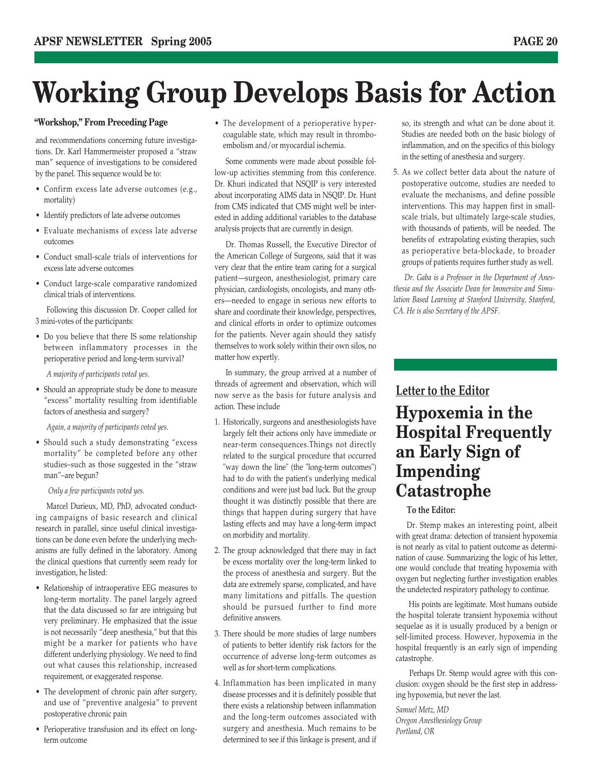## **Working Group Develops Basis for Action**

#### **"Workshop," From Preceding Page**

and recommendations concerning future investigations. Dr. Karl Hammermeister proposed a "straw man" sequence of investigations to be considered by the panel. This sequence would be to:

- Confirm excess late adverse outcomes (e.g., mortality)
- Identify predictors of late adverse outcomes
- Evaluate mechanisms of excess late adverse outcomes
- Conduct small-scale trials of interventions for excess late adverse outcomes
- Conduct large-scale comparative randomized clinical trials of interventions.

Following this discussion Dr. Cooper called for 3 mini-votes of the participants:

• Do you believe that there IS some relationship between inflammatory processes in the perioperative period and long-term survival?

*A majority of participants voted yes.*

• Should an appropriate study be done to measure "excess" mortality resulting from identifiable factors of anesthesia and surgery?

*Again, a majority of participants voted yes.*

• Should such a study demonstrating "excess mortality" be completed before any other studies–such as those suggested in the "straw man"–are begun?

*Only a few participants voted yes.*

Marcel Durieux, MD, PhD, advocated conducting campaigns of basic research and clinical research in parallel, since useful clinical investigations can be done even before the underlying mechanisms are fully defined in the laboratory. Among the clinical questions that currently seem ready for investigation, he listed:

- Relationship of intraoperative EEG measures to long-term mortality. The panel largely agreed that the data discussed so far are intriguing but very preliminary. He emphasized that the issue is not necessarily "deep anesthesia," but that this might be a marker for patients who have different underlying physiology. We need to find out what causes this relationship, increased requirement, or exaggerated response.
- The development of chronic pain after surgery, and use of "preventive analgesia" to prevent postoperative chronic pain
- Perioperative transfusion and its effect on longterm outcome

• The development of a perioperative hypercoagulable state, which may result in thromboembolism and/or myocardial ischemia.

Some comments were made about possible follow-up activities stemming from this conference. Dr. Khuri indicated that NSQIP is very interested about incorporating AIMS data in NSQIP. Dr. Hunt from CMS indicated that CMS might well be interested in adding additional variables to the database analysis projects that are currently in design.

Dr. Thomas Russell, the Executive Director of the American College of Surgeons, said that it was very clear that the entire team caring for a surgical patient—surgeon, anesthesiologist, primary care physician, cardiologists, oncologists, and many others—needed to engage in serious new efforts to share and coordinate their knowledge, perspectives, and clinical efforts in order to optimize outcomes for the patients. Never again should they satisfy themselves to work solely within their own silos, no matter how expertly.

In summary, the group arrived at a number of threads of agreement and observation, which will now serve as the basis for future analysis and action. These include

- 1. Historically, surgeons and anesthesiologists have largely felt their actions only have immediate or near-term consequences.Things not directly related to the surgical procedure that occurred "way down the line" (the "long-term outcomes") had to do with the patient's underlying medical conditions and were just bad luck. But the group thought it was distinctly possible that there are things that happen during surgery that have lasting effects and may have a long-term impact on morbidity and mortality.
- 2. The group acknowledged that there may in fact be excess mortality over the long-term linked to the process of anesthesia and surgery. But the data are extremely sparse, complicated, and have many limitations and pitfalls. The question should be pursued further to find more definitive answers.
- 3. There should be more studies of large numbers of patients to better identify risk factors for the occurrence of adverse long-term outcomes as well as for short-term complications.
- 4. Inflammation has been implicated in many disease processes and it is definitely possible that there exists a relationship between inflammation and the long-term outcomes associated with surgery and anesthesia. Much remains to be determined to see if this linkage is present, and if

so, its strength and what can be done about it. Studies are needed both on the basic biology of inflammation, and on the specifics of this biology in the setting of anesthesia and surgery.

5. As we collect better data about the nature of postoperative outcome, studies are needed to evaluate the mechanisms, and define possible interventions. This may happen first in smallscale trials, but ultimately large-scale studies, with thousands of patients, will be needed. The benefits of extrapolating existing therapies, such as perioperative beta-blockade, to broader groups of patients requires further study as well.

*Dr. Gaba is a Professor in the Department of Anesthesia and the Associate Dean for Immersive and Simulation Based Learning at Stanford University, Stanford, CA. He is also Secretary of the APSF.*

#### **Letter to the Editor**

**Hypoxemia in the Hospital Frequently an Early Sign of Impending Catastrophe**

#### **To the Editor:**

Dr. Stemp makes an interesting point, albeit with great drama: detection of transient hypoxemia is not nearly as vital to patient outcome as determination of cause. Summarizing the logic of his letter, one would conclude that treating hypoxemia with oxygen but neglecting further investigation enables the undetected respiratory pathology to continue.

His points are legitimate. Most humans outside the hospital tolerate transient hypoxemia without sequelae as it is usually produced by a benign or self-limited process. However, hypoxemia in the hospital frequently is an early sign of impending catastrophe.

Perhaps Dr. Stemp would agree with this conclusion: oxygen should be the first step in addressing hypoxemia, but never the last.

*Samuel Metz, MD Oregon Anesthesiology Group Portland, OR*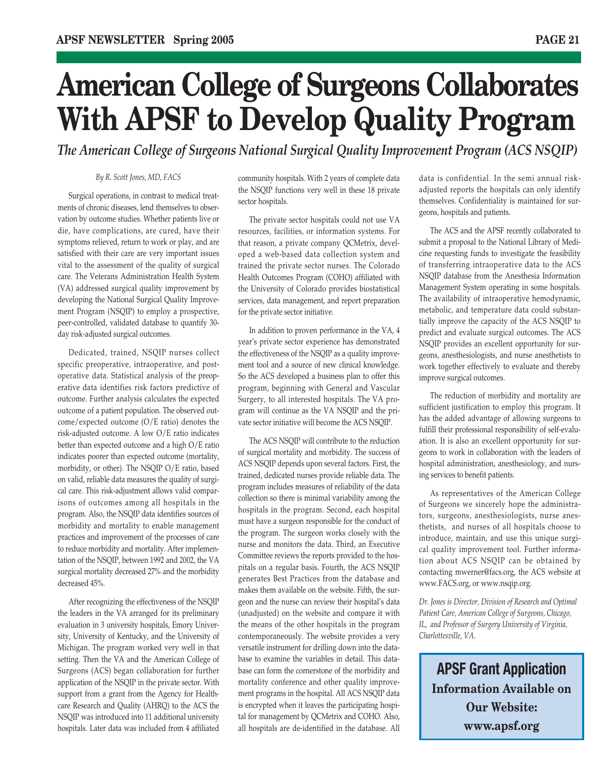## **American College of Surgeons Collaborates With APSF to Develop Quality Program**

*The American College of Surgeons National Surgical Quality Improvement Program (ACS NSQIP)*

#### *By R. Scott Jones, MD, FACS*

Surgical operations, in contrast to medical treatments of chronic diseases, lend themselves to observation by outcome studies. Whether patients live or die, have complications, are cured, have their symptoms relieved, return to work or play, and are satisfied with their care are very important issues vital to the assessment of the quality of surgical care. The Veterans Administration Health System (VA) addressed surgical quality improvement by developing the National Surgical Quality Improvement Program (NSQIP) to employ a prospective, peer-controlled, validated database to quantify 30 day risk-adjusted surgical outcomes.

Dedicated, trained, NSQIP nurses collect specific preoperative, intraoperative, and postoperative data. Statistical analysis of the preoperative data identifies risk factors predictive of outcome. Further analysis calculates the expected outcome of a patient population. The observed outcome/expected outcome (O/E ratio) denotes the risk-adjusted outcome. A low O/E ratio indicates better than expected outcome and a high O/E ratio indicates poorer than expected outcome (mortality, morbidity, or other). The NSQIP O/E ratio, based on valid, reliable data measures the quality of surgical care. This risk-adjustment allows valid comparisons of outcomes among all hospitals in the program. Also, the NSQIP data identifies sources of morbidity and mortality to enable management practices and improvement of the processes of care to reduce morbidity and mortality. After implementation of the NSQIP, between 1992 and 2002, the VA surgical mortality decreased 27% and the morbidity decreased 45%.

After recognizing the effectiveness of the NSQIP the leaders in the VA arranged for its preliminary evaluation in 3 university hospitals, Emory University, University of Kentucky, and the University of Michigan. The program worked very well in that setting. Then the VA and the American College of Surgeons (ACS) began collaboration for further application of the NSQIP in the private sector. With support from a grant from the Agency for Healthcare Research and Quality (AHRQ) to the ACS the NSQIP was introduced into 11 additional university hospitals. Later data was included from 4 affiliated

community hospitals. With 2 years of complete data the NSQIP functions very well in these 18 private sector hospitals.

The private sector hospitals could not use VA resources, facilities, or information systems. For that reason, a private company QCMetrix, developed a web-based data collection system and trained the private sector nurses. The Colorado Health Outcomes Program (COHO) affiliated with the University of Colorado provides biostatistical services, data management, and report preparation for the private sector initiative.

In addition to proven performance in the VA, 4 year's private sector experience has demonstrated the effectiveness of the NSQIP as a quality improvement tool and a source of new clinical knowledge. So the ACS developed a business plan to offer this program, beginning with General and Vascular Surgery, to all interested hospitals. The VA program will continue as the VA NSQIP and the private sector initiative will become the ACS NSQIP.

The ACS NSQIP will contribute to the reduction of surgical mortality and morbidity. The success of ACS NSQIP depends upon several factors. First, the trained, dedicated nurses provide reliable data. The program includes measures of reliability of the data collection so there is minimal variability among the hospitals in the program. Second, each hospital must have a surgeon responsible for the conduct of the program. The surgeon works closely with the nurse and monitors the data. Third, an Executive Committee reviews the reports provided to the hospitals on a regular basis. Fourth, the ACS NSQIP generates Best Practices from the database and makes them available on the website. Fifth, the surgeon and the nurse can review their hospital's data (unadjusted) on the website and compare it with the means of the other hospitals in the program contemporaneously. The website provides a very versatile instrument for drilling down into the database to examine the variables in detail. This database can form the cornerstone of the morbidity and mortality conference and other quality improvement programs in the hospital. All ACS NSQIP data is encrypted when it leaves the participating hospital for management by QCMetrix and COHO. Also, all hospitals are de-identified in the database. All data is confidential. In the semi annual riskadjusted reports the hospitals can only identify themselves. Confidentiality is maintained for surgeons, hospitals and patients.

The ACS and the APSF recently collaborated to submit a proposal to the National Library of Medicine requesting funds to investigate the feasibility of transferring intraoperative data to the ACS NSQIP database from the Anesthesia Information Management System operating in some hospitals. The availability of intraoperative hemodynamic, metabolic, and temperature data could substantially improve the capacity of the ACS NSQIP to predict and evaluate surgical outcomes. The ACS NSQIP provides an excellent opportunity for surgeons, anesthesiologists, and nurse anesthetists to work together effectively to evaluate and thereby improve surgical outcomes.

The reduction of morbidity and mortality are sufficient justification to employ this program. It has the added advantage of allowing surgeons to fulfill their professional responsibility of self-evaluation. It is also an excellent opportunity for surgeons to work in collaboration with the leaders of hospital administration, anesthesiology, and nursing services to benefit patients.

As representatives of the American College of Surgeons we sincerely hope the administrators, surgeons, anesthesiologists, nurse anesthetists, and nurses of all hospitals choose to introduce, maintain, and use this unique surgical quality improvement tool. Further information about ACS NSQIP can be obtained by contacting mwerner@facs.org, the ACS website at www.FACS.org, or www.nsqip.org.

*Dr. Jones is Director, Division of Research and Optimal Patient Care, American College of Surgeons, Chicago, IL, and Professor of Surgery University of Virginia, Charlottesville, VA.* 

**APSF Grant Application Information Available on Our Website: www.apsf.org**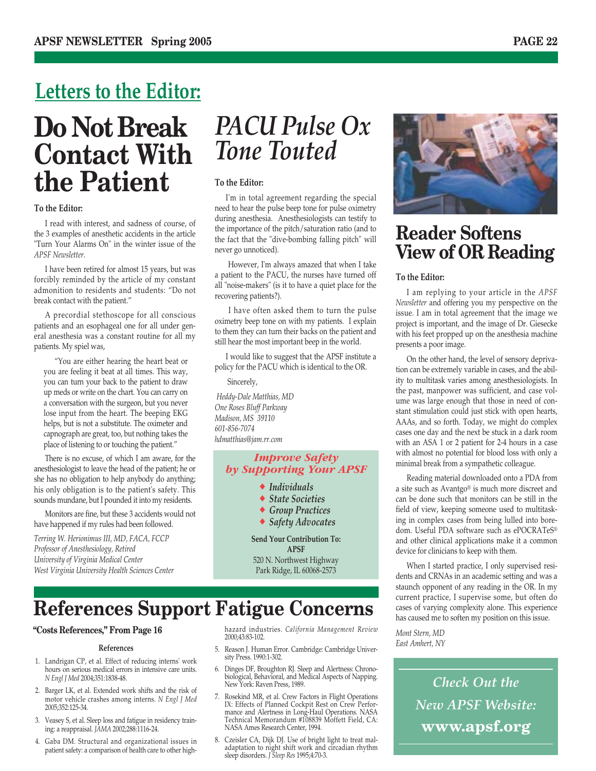### **Letters to the Editor:**

### **Do Not Break Contact With the Patient**

#### **To the Editor:**

I read with interest, and sadness of course, of the 3 examples of anesthetic accidents in the article "Turn Your Alarms On" in the winter issue of the *APSF Newsletter*.

I have been retired for almost 15 years, but was forcibly reminded by the article of my constant admonition to residents and students: "Do not break contact with the patient."

A precordial stethoscope for all conscious patients and an esophageal one for all under general anesthesia was a constant routine for all my patients. My spiel was,

"You are either hearing the heart beat or you are feeling it beat at all times. This way, you can turn your back to the patient to draw up meds or write on the chart. You can carry on a conversation with the surgeon, but you never lose input from the heart. The beeping EKG helps, but is not a substitute. The oximeter and capnograph are great, too, but nothing takes the place of listening to or touching the patient."

There is no excuse, of which I am aware, for the anesthesiologist to leave the head of the patient; he or she has no obligation to help anybody do anything; his only obligation is to the patient's safety. This sounds mundane, but I pounded it into my residents.

Monitors are fine, but these 3 accidents would not have happened if my rules had been followed.

*Terring W. Herionimus III, MD, FACA, FCCP Professor of Anesthesiology, Retired University of Virginia Medical Center West Virginia University Health Sciences Center*

### *PACU Pulse Ox Tone Touted*

#### **To the Editor:**

I'm in total agreement regarding the special need to hear the pulse beep tone for pulse oximetry during anesthesia. Anesthesiologists can testify to the importance of the pitch/saturation ratio (and to the fact that the "dive-bombing falling pitch" will never go unnoticed).

However, I'm always amazed that when I take a patient to the PACU, the nurses have turned off all "noise-makers" (is it to have a quiet place for the recovering patients?).

I have often asked them to turn the pulse oximetry beep tone on with my patients. I explain to them they can turn their backs on the patient and still hear the most important beep in the world.

I would like to suggest that the APSF institute a policy for the PACU which is identical to the OR.

Sincerely,

*Heddy-Dale Matthias, MD One Roses Bluff Parkway Madison, MS 39110 601-856-7074 hdmatthias@jam.rr.com*

#### *Improve Safety by Supporting Your APSF*

- ◆ *Individuals*
- ◆ *State Societies*
- **Group Practices**
- ◆ *Safety Advocates*

**Send Your Contribution To: APSF** 520 N. Northwest Highway Park Ridge, IL 60068-2573

### **References Support Fatigue Concerns**

#### **"Costs References," From Page 16**

#### **References**

- 1. Landrigan CP, et al. Effect of reducing interns' work hours on serious medical errors in intensive care units. *N Engl J Med* 2004;351:1838-48.
- 2. Barger LK, et al. Extended work shifts and the risk of motor vehicle crashes among interns. *N Engl J Med* 2005;352:125-34.
- 3. Veasey S, et al. Sleep loss and fatigue in residency training: a reappraisal. *JAMA* 2002;288:1116-24.
- 4. Gaba DM. Structural and organizational issues in patient safety: a comparison of health care to other high-

hazard industries. *California Management Review* 2000;43:83-102.

- 5. Reason J. Human Error. Cambridge: Cambridge University Press. 1990:1-302.
- 6. Dinges DF, Broughton RJ. Sleep and Alertness: Chronobiological, Behavioral, and Medical Aspects of Napping. New York: Raven Press, 1989.
- 7. Rosekind MR, et al. Crew Factors in Flight Operations IX: Effects of Planned Cockpit Rest on Crew Performance and Alertness in Long-Haul Operations. NASA Technical Memorandum #108839 Moffett Field, CA: NASA Ames Research Center, 1994.
- 8. Czeisler CA, Dijk DJ. Use of bright light to treat maladaptation to night shift work and circadian rhythm sleep disorders. *J Sleep Res* 1995;4:70-3.



### **Reader Softens View of OR Reading**

#### **To the Editor:**

I am replying to your article in the *APSF Newsletter* and offering you my perspective on the issue. I am in total agreement that the image we project is important, and the image of Dr. Giesecke with his feet propped up on the anesthesia machine presents a poor image.

On the other hand, the level of sensory deprivation can be extremely variable in cases, and the ability to multitask varies among anesthesiologists. In the past, manpower was sufficient, and case volume was large enough that those in need of constant stimulation could just stick with open hearts, AAAs, and so forth. Today, we might do complex cases one day and the next be stuck in a dark room with an ASA 1 or 2 patient for 2-4 hours in a case with almost no potential for blood loss with only a minimal break from a sympathetic colleague.

Reading material downloaded onto a PDA from a site such as Avantgo® is much more discreet and can be done such that monitors can be still in the field of view, keeping someone used to multitasking in complex cases from being lulled into boredom. Useful PDA software such as ePOCRATeS® and other clinical applications make it a common device for clinicians to keep with them.

When I started practice, I only supervised residents and CRNAs in an academic setting and was a staunch opponent of any reading in the OR. In my current practice, I supervise some, but often do cases of varying complexity alone. This experience has caused me to soften my position on this issue.

*Mont Stern, MD East Amhert, NY*

> *Check Out the New APSF Website:* **www.apsf.org**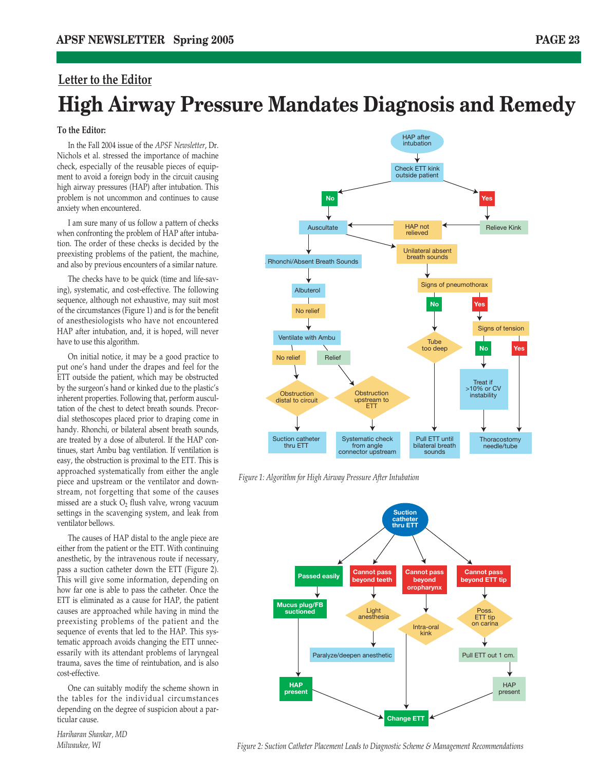### **Letter to the Editor High Airway Pressure Mandates Diagnosis and Remedy**

#### **To the Editor:**

In the Fall 2004 issue of the *APSF Newsletter*, Dr. Nichols et al. stressed the importance of machine check, especially of the reusable pieces of equipment to avoid a foreign body in the circuit causing high airway pressures (HAP) after intubation. This problem is not uncommon and continues to cause anxiety when encountered.

I am sure many of us follow a pattern of checks when confronting the problem of HAP after intubation. The order of these checks is decided by the preexisting problems of the patient, the machine, and also by previous encounters of a similar nature.

The checks have to be quick (time and life-saving), systematic, and cost-effective. The following sequence, although not exhaustive, may suit most of the circumstances (Figure 1) and is for the benefit of anesthesiologists who have not encountered HAP after intubation, and, it is hoped, will never have to use this algorithm.

On initial notice, it may be a good practice to put one's hand under the drapes and feel for the ETT outside the patient, which may be obstructed by the surgeon's hand or kinked due to the plastic's inherent properties. Following that, perform auscultation of the chest to detect breath sounds. Precordial stethoscopes placed prior to draping come in handy. Rhonchi, or bilateral absent breath sounds, are treated by a dose of albuterol. If the HAP continues, start Ambu bag ventilation. If ventilation is easy, the obstruction is proximal to the ETT. This is approached systematically from either the angle piece and upstream or the ventilator and downstream, not forgetting that some of the causes missed are a stuck  $O<sub>2</sub>$  flush valve, wrong vacuum settings in the scavenging system, and leak from ventilator bellows.

The causes of HAP distal to the angle piece are either from the patient or the ETT. With continuing anesthetic, by the intravenous route if necessary, pass a suction catheter down the ETT (Figure 2). This will give some information, depending on how far one is able to pass the catheter. Once the ETT is eliminated as a cause for HAP, the patient causes are approached while having in mind the preexisting problems of the patient and the sequence of events that led to the HAP. This systematic approach avoids changing the ETT unnecessarily with its attendant problems of laryngeal trauma, saves the time of reintubation, and is also cost-effective.

One can suitably modify the scheme shown in the tables for the individual circumstances depending on the degree of suspicion about a particular cause.



*Figure 1: Algorithm for High Airway Pressure After Intubation*



*Hariharan Shankar, MD Milwaukee, WI*

*Figure 2: Suction Catheter Placement Leads to Diagnostic Scheme & Management Recommendations*